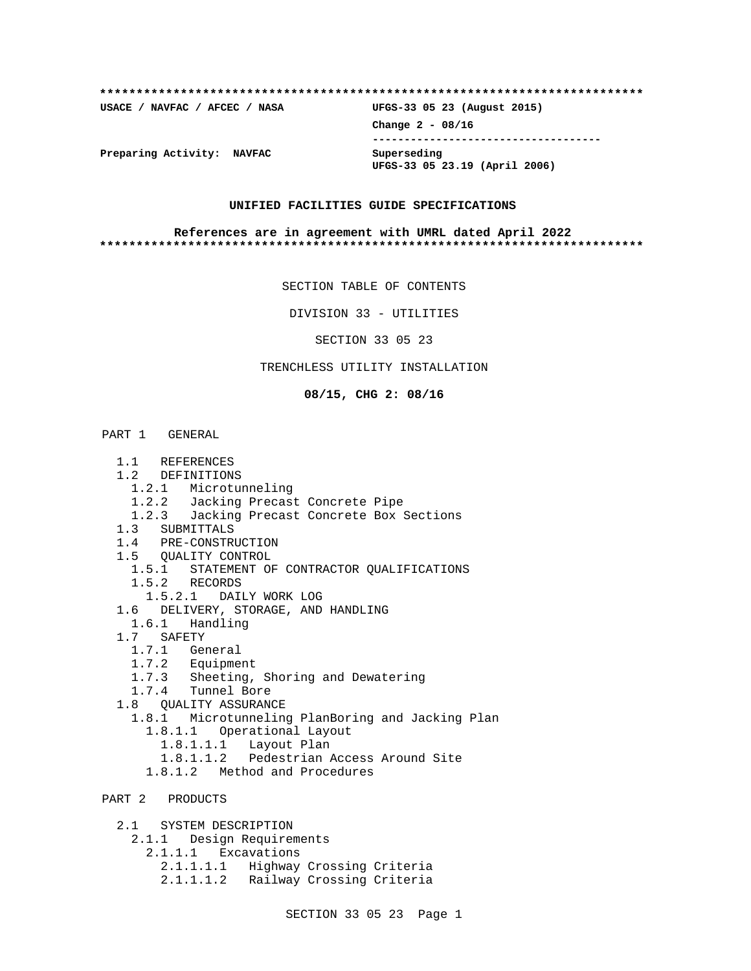# **\*\*\*\*\*\*\*\*\*\*\*\*\*\*\*\*\*\*\*\*\*\*\*\*\*\*\*\*\*\*\*\*\*\*\*\*\*\*\*\*\*\*\*\*\*\*\*\*\*\*\*\*\*\*\*\*\*\*\*\*\*\*\*\*\*\*\*\*\*\*\*\*\*\* USACE / NAVFAC / AFCEC / NASA UFGS-33 05 23 (August 2015) Change 2 - 08/16 ------------------------------------ Preparing Activity: NAVFAC Superseding UFGS-33 05 23.19 (April 2006)**

#### **UNIFIED FACILITIES GUIDE SPECIFICATIONS**

#### **References are in agreement with UMRL dated April 2022 \*\*\*\*\*\*\*\*\*\*\*\*\*\*\*\*\*\*\*\*\*\*\*\*\*\*\*\*\*\*\*\*\*\*\*\*\*\*\*\*\*\*\*\*\*\*\*\*\*\*\*\*\*\*\*\*\*\*\*\*\*\*\*\*\*\*\*\*\*\*\*\*\*\***

SECTION TABLE OF CONTENTS

DIVISION 33 - UTILITIES

SECTION 33 05 23

### TRENCHLESS UTILITY INSTALLATION

**08/15, CHG 2: 08/16**

#### PART 1 GENERAL

- 1.1 REFERENCES
- 1.2 DEFINITIONS
	- 1.2.1 Microtunneling
	- 1.2.2 Jacking Precast Concrete Pipe
	- 1.2.3 Jacking Precast Concrete Box Sections
- 1.3 SUBMITTALS
- 1.4 PRE-CONSTRUCTION
- 1.5 QUALITY CONTROL
- 1.5.1 STATEMENT OF CONTRACTOR QUALIFICATIONS
- 1.5.2 RECORDS
- 1.5.2.1 DAILY WORK LOG
- 1.6 DELIVERY, STORAGE, AND HANDLING
- 1.6.1 Handling
- 1.7 SAFETY
	- 1.7.1 General
	- 1.7.2 Equipment
	- 1.7.3 Sheeting, Shoring and Dewatering
- 1.7.4 Tunnel Bore
- 1.8 QUALITY ASSURANCE
	- 1.8.1 Microtunneling PlanBoring and Jacking Plan
		- 1.8.1.1 Operational Layout
		- 1.8.1.1.1 Layout Plan
		- 1.8.1.1.2 Pedestrian Access Around Site
		- 1.8.1.2 Method and Procedures

# PART 2 PRODUCTS

2.1 SYSTEM DESCRIPTION

- 2.1.1 Design Requirements
	- 2.1.1.1 Excavations
		- 2.1.1.1.1 Highway Crossing Criteria 2.1.1.1.2 Railway Crossing Criteria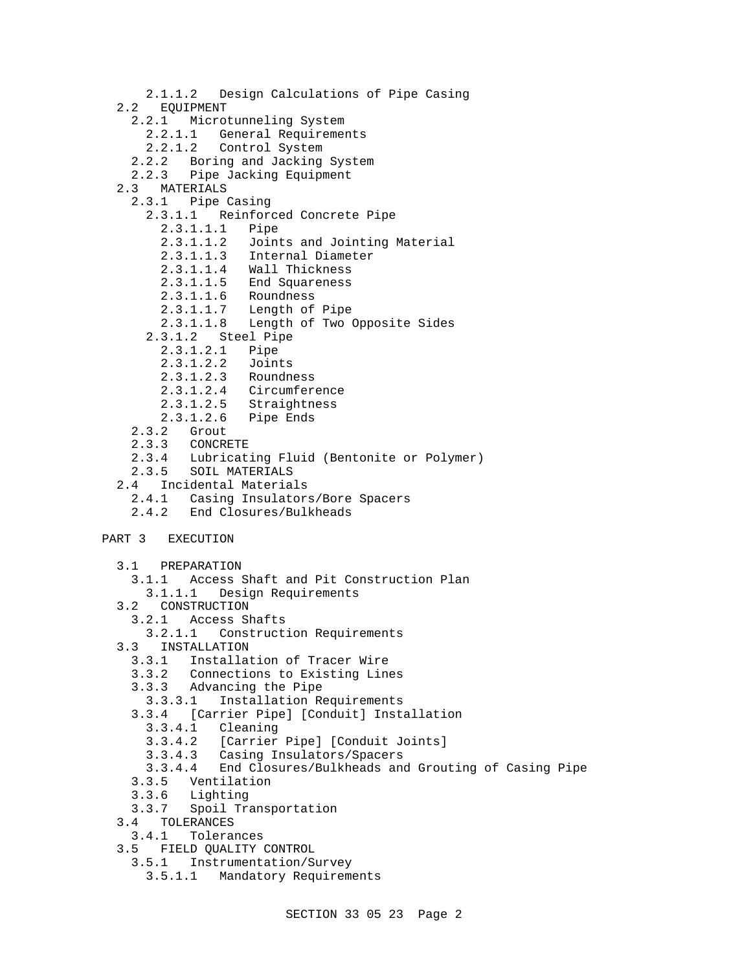2.1.1.2 Design Calculations of Pipe Casing 2.2 EQUIPMENT 2.2.1 Microtunneling System 2.2.1.1 General Requirements 2.2.1.2 Control System 2.2.2 Boring and Jacking System 2.2.3 Pipe Jacking Equipment 2.3 MATERIALS 2.3.1 Pipe Casing 2.3.1.1 Reinforced Concrete Pipe 2.3.1.1.1 Pipe 2.3.1.1.2 Joints and Jointing Material 2.3.1.1.3 Internal Diameter 2.3.1.1.4 Wall Thickness 2.3.1.1.5 End Squareness 2.3.1.1.6 Roundness 2.3.1.1.7 Length of Pipe 2.3.1.1.8 Length of Two Opposite Sides 2.3.1.2 Steel Pipe 2.3.1.2.1 Pipe 2.3.1.2.2 Joints 2.3.1.2.3 Roundness 2.3.1.2.4 Circumference 2.3.1.2.5 Straightness 2.3.1.2.6 Pipe Ends 2.3.2 Grout 2.3.3 CONCRETE 2.3.4 Lubricating Fluid (Bentonite or Polymer) 2.3.5 SOIL MATERIALS 2.4 Incidental Materials 2.4.1 Casing Insulators/Bore Spacers 2.4.2 End Closures/Bulkheads PART 3 EXECUTION 3.1 PREPARATION 3.1.1 Access Shaft and Pit Construction Plan 3.1.1.1 Design Requirements 3.2 CONSTRUCTION 3.2.1 Access Shafts 3.2.1.1 Construction Requirements 3.3 INSTALLATION 3.3.1 Installation of Tracer Wire 3.3.2 Connections to Existing Lines 3.3.3 Advancing the Pipe 3.3.3.1 Installation Requirements 3.3.4 [Carrier Pipe] [Conduit] Installation 3.3.4.1 Cleaning 3.3.4.2 [Carrier Pipe] [Conduit Joints] 3.3.4.3 Casing Insulators/Spacers 3.3.4.4 End Closures/Bulkheads and Grouting of Casing Pipe 3.3.5 Ventilation 3.3.6 Lighting 3.3.7 Spoil Transportation 3.4 TOLERANCES 3.4.1 Tolerances 3.5 FIELD QUALITY CONTROL 3.5.1 Instrumentation/Survey 3.5.1.1 Mandatory Requirements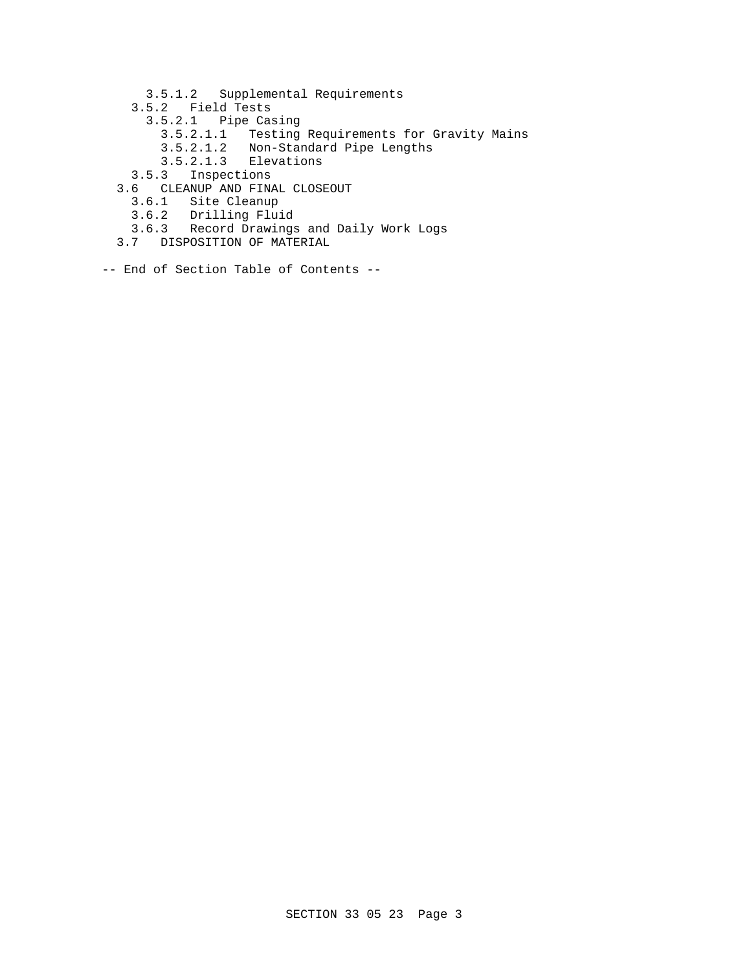- 3.5.1.2 Supplemental Requirements
- 3.5.2 Field Tests
	- 3.5.2.1 Pipe Casing
- 3.5.2.1.1 Testing Requirements for Gravity Mains
- 3.5.2.1.2 Non-Standard Pipe Lengths
	- 3.5.2.1.3 Elevations
	- 3.5.3 Inspections
	- 3.6 CLEANUP AND FINAL CLOSEOUT
		- 3.6.1 Site Cleanup
		- 3.6.2 Drilling Fluid
		- 3.6.3 Record Drawings and Daily Work Logs
	- 3.7 DISPOSITION OF MATERIAL
- -- End of Section Table of Contents --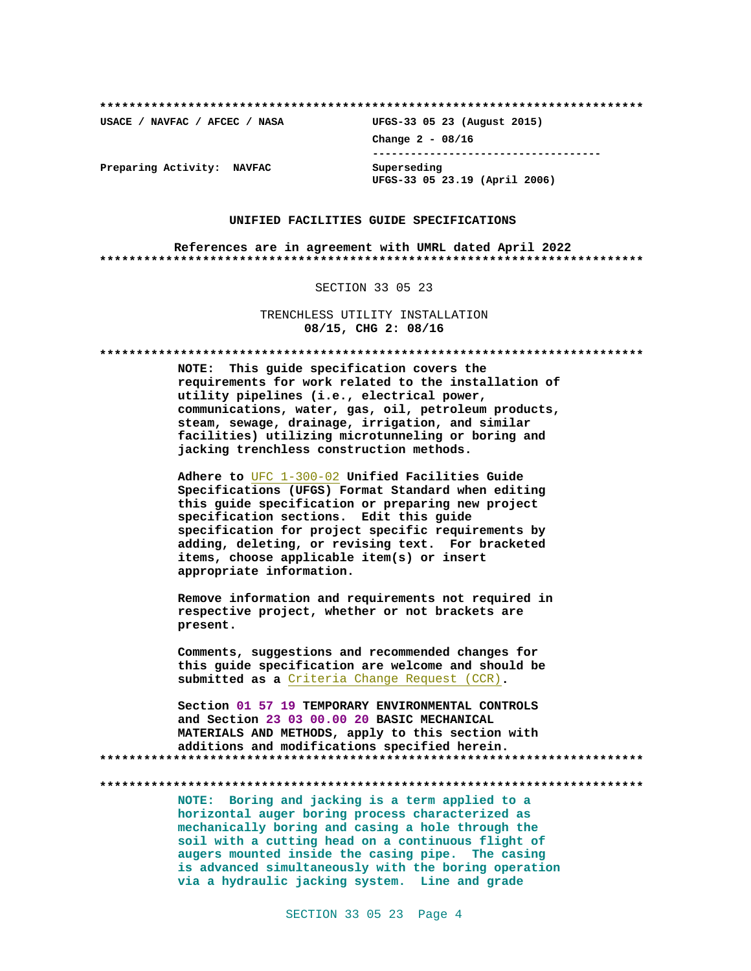**\*\*\*\*\*\*\*\*\*\*\*\*\*\*\*\*\*\*\*\*\*\*\*\*\*\*\*\*\*\*\*\*\*\*\*\*\*\*\*\*\*\*\*\*\*\*\*\*\*\*\*\*\*\*\*\*\*\*\*\*\*\*\*\*\*\*\*\*\*\*\*\*\*\***

**USACE / NAVFAC / AFCEC / NASA UFGS-33 05 23 (August 2015) Change 2 - 08/16 ------------------------------------ UFGS-33 05 23.19 (April 2006)**

**Preparing Activity: NAVFAC Superseding**

#### **UNIFIED FACILITIES GUIDE SPECIFICATIONS**

**References are in agreement with UMRL dated April 2022 \*\*\*\*\*\*\*\*\*\*\*\*\*\*\*\*\*\*\*\*\*\*\*\*\*\*\*\*\*\*\*\*\*\*\*\*\*\*\*\*\*\*\*\*\*\*\*\*\*\*\*\*\*\*\*\*\*\*\*\*\*\*\*\*\*\*\*\*\*\*\*\*\*\***

#### SECTION 33 05 23

TRENCHLESS UTILITY INSTALLATION **08/15, CHG 2: 08/16**

**\*\*\*\*\*\*\*\*\*\*\*\*\*\*\*\*\*\*\*\*\*\*\*\*\*\*\*\*\*\*\*\*\*\*\*\*\*\*\*\*\*\*\*\*\*\*\*\*\*\*\*\*\*\*\*\*\*\*\*\*\*\*\*\*\*\*\*\*\*\*\*\*\*\***

**NOTE: This guide specification covers the requirements for work related to the installation of utility pipelines (i.e., electrical power, communications, water, gas, oil, petroleum products, steam, sewage, drainage, irrigation, and similar facilities) utilizing microtunneling or boring and jacking trenchless construction methods.**

**Adhere to** UFC 1-300-02 **Unified Facilities Guide Specifications (UFGS) Format Standard when editing this guide specification or preparing new project specification sections. Edit this guide specification for project specific requirements by adding, deleting, or revising text. For bracketed items, choose applicable item(s) or insert appropriate information.**

**Remove information and requirements not required in respective project, whether or not brackets are present.**

**Comments, suggestions and recommended changes for this guide specification are welcome and should be submitted as a** Criteria Change Request (CCR)**.**

**Section 01 57 19 TEMPORARY ENVIRONMENTAL CONTROLS and Section 23 03 00.00 20 BASIC MECHANICAL MATERIALS AND METHODS, apply to this section with additions and modifications specified herein. \*\*\*\*\*\*\*\*\*\*\*\*\*\*\*\*\*\*\*\*\*\*\*\*\*\*\*\*\*\*\*\*\*\*\*\*\*\*\*\*\*\*\*\*\*\*\*\*\*\*\*\*\*\*\*\*\*\*\*\*\*\*\*\*\*\*\*\*\*\*\*\*\*\***

**\*\*\*\*\*\*\*\*\*\*\*\*\*\*\*\*\*\*\*\*\*\*\*\*\*\*\*\*\*\*\*\*\*\*\*\*\*\*\*\*\*\*\*\*\*\*\*\*\*\*\*\*\*\*\*\*\*\*\*\*\*\*\*\*\*\*\*\*\*\*\*\*\*\***

**NOTE: Boring and jacking is a term applied to a horizontal auger boring process characterized as mechanically boring and casing a hole through the soil with a cutting head on a continuous flight of augers mounted inside the casing pipe. The casing is advanced simultaneously with the boring operation via a hydraulic jacking system. Line and grade**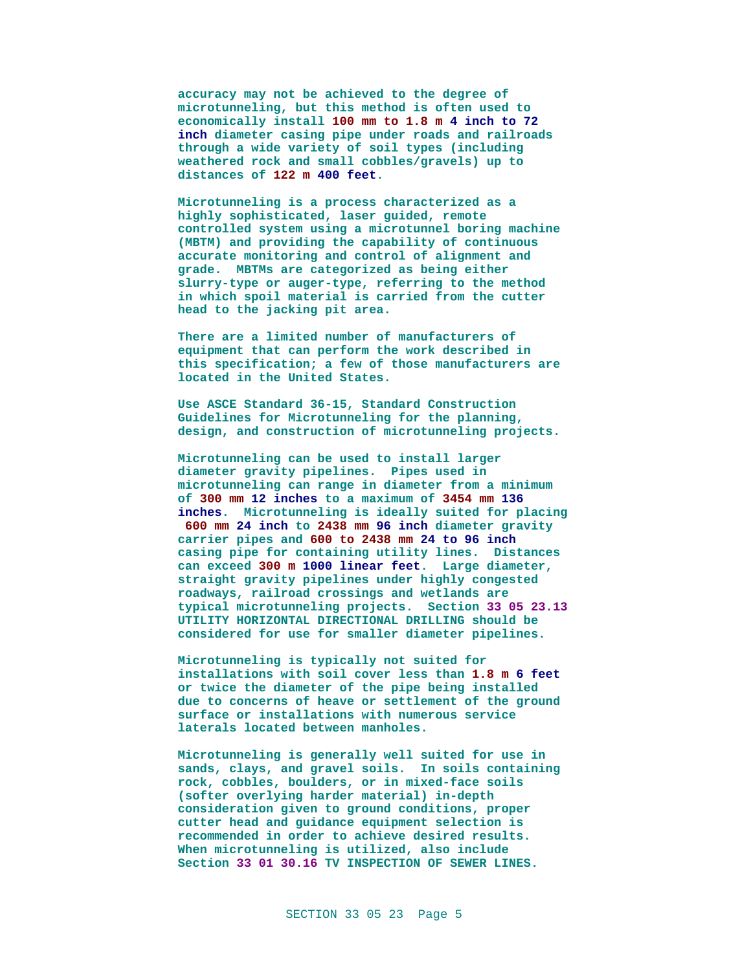**accuracy may not be achieved to the degree of microtunneling, but this method is often used to economically install 100 mm to 1.8 m 4 inch to 72 inch diameter casing pipe under roads and railroads through a wide variety of soil types (including weathered rock and small cobbles/gravels) up to distances of 122 m 400 feet.**

**Microtunneling is a process characterized as a highly sophisticated, laser guided, remote controlled system using a microtunnel boring machine (MBTM) and providing the capability of continuous accurate monitoring and control of alignment and grade. MBTMs are categorized as being either slurry-type or auger-type, referring to the method in which spoil material is carried from the cutter head to the jacking pit area.**

**There are a limited number of manufacturers of equipment that can perform the work described in this specification; a few of those manufacturers are located in the United States.**

**Use ASCE Standard 36-15, Standard Construction Guidelines for Microtunneling for the planning, design, and construction of microtunneling projects.**

**Microtunneling can be used to install larger diameter gravity pipelines. Pipes used in microtunneling can range in diameter from a minimum of 300 mm 12 inches to a maximum of 3454 mm 136 inches. Microtunneling is ideally suited for placing 600 mm 24 inch to 2438 mm 96 inch diameter gravity carrier pipes and 600 to 2438 mm 24 to 96 inch casing pipe for containing utility lines. Distances can exceed 300 m 1000 linear feet. Large diameter, straight gravity pipelines under highly congested roadways, railroad crossings and wetlands are typical microtunneling projects. Section 33 05 23.13 UTILITY HORIZONTAL DIRECTIONAL DRILLING should be considered for use for smaller diameter pipelines.**

**Microtunneling is typically not suited for installations with soil cover less than 1.8 m 6 feet or twice the diameter of the pipe being installed due to concerns of heave or settlement of the ground surface or installations with numerous service laterals located between manholes.**

**Microtunneling is generally well suited for use in sands, clays, and gravel soils. In soils containing rock, cobbles, boulders, or in mixed-face soils (softer overlying harder material) in-depth consideration given to ground conditions, proper cutter head and guidance equipment selection is recommended in order to achieve desired results. When microtunneling is utilized, also include Section 33 01 30.16 TV INSPECTION OF SEWER LINES.**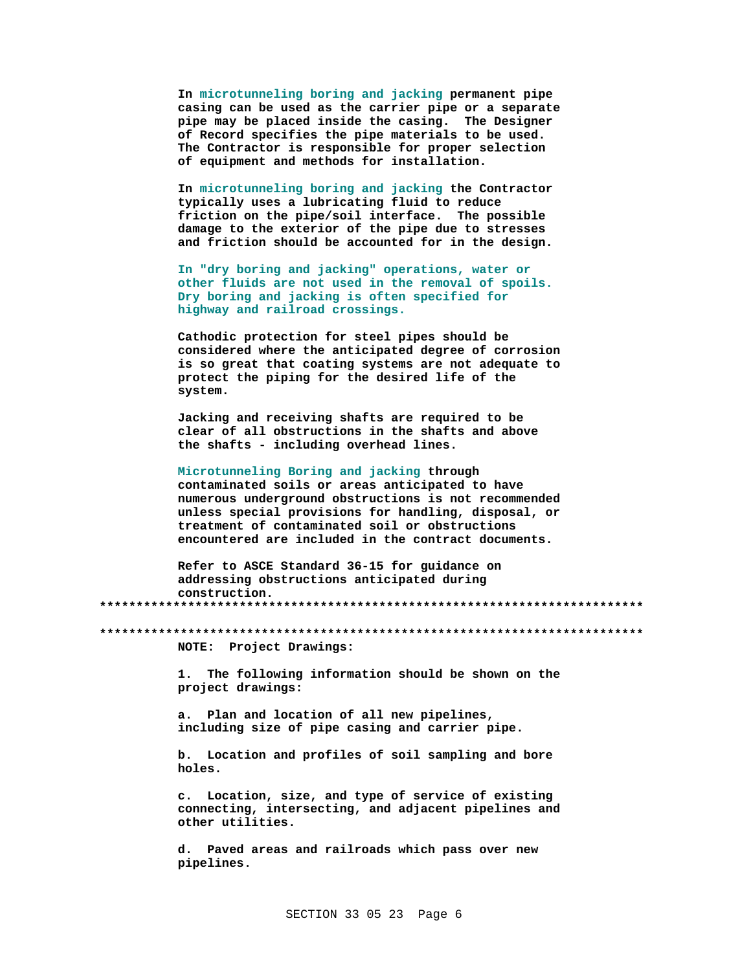In microtunneling boring and jacking permanent pipe casing can be used as the carrier pipe or a separate pipe may be placed inside the casing. The Designer of Record specifies the pipe materials to be used. The Contractor is responsible for proper selection of equipment and methods for installation.

In microtunneling boring and jacking the Contractor typically uses a lubricating fluid to reduce friction on the pipe/soil interface. The possible damage to the exterior of the pipe due to stresses and friction should be accounted for in the design.

In "dry boring and jacking" operations, water or other fluids are not used in the removal of spoils. Dry boring and jacking is often specified for highway and railroad crossings.

Cathodic protection for steel pipes should be considered where the anticipated degree of corrosion is so great that coating systems are not adequate to protect the piping for the desired life of the system.

Jacking and receiving shafts are required to be clear of all obstructions in the shafts and above the shafts - including overhead lines.

Microtunneling Boring and jacking through contaminated soils or areas anticipated to have numerous underground obstructions is not recommended unless special provisions for handling, disposal, or treatment of contaminated soil or obstructions encountered are included in the contract documents.

Refer to ASCE Standard 36-15 for guidance on addressing obstructions anticipated during construction.

NOTE: Project Drawings:

The following information should be shown on the  $1<sub>1</sub>$ project drawings:

a. Plan and location of all new pipelines, including size of pipe casing and carrier pipe.

b. Location and profiles of soil sampling and bore holes.

c. Location, size, and type of service of existing connecting, intersecting, and adjacent pipelines and other utilities.

d. Paved areas and railroads which pass over new pipelines.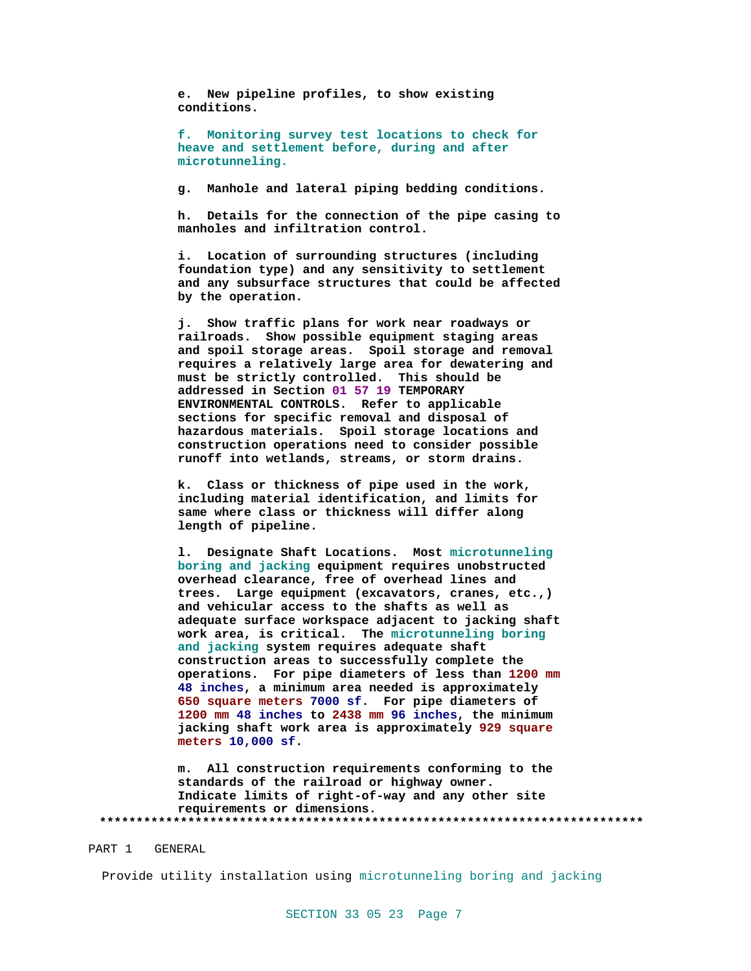**e. New pipeline profiles, to show existing conditions.**

**f. Monitoring survey test locations to check for heave and settlement before, during and after microtunneling.**

**g. Manhole and lateral piping bedding conditions.**

**h. Details for the connection of the pipe casing to manholes and infiltration control.**

**i. Location of surrounding structures (including foundation type) and any sensitivity to settlement and any subsurface structures that could be affected by the operation.**

**j. Show traffic plans for work near roadways or railroads. Show possible equipment staging areas and spoil storage areas. Spoil storage and removal requires a relatively large area for dewatering and must be strictly controlled. This should be addressed in Section 01 57 19 TEMPORARY ENVIRONMENTAL CONTROLS. Refer to applicable sections for specific removal and disposal of hazardous materials. Spoil storage locations and construction operations need to consider possible runoff into wetlands, streams, or storm drains.**

**k. Class or thickness of pipe used in the work, including material identification, and limits for same where class or thickness will differ along length of pipeline.**

**l. Designate Shaft Locations. Most microtunneling boring and jacking equipment requires unobstructed overhead clearance, free of overhead lines and trees. Large equipment (excavators, cranes, etc.,) and vehicular access to the shafts as well as adequate surface workspace adjacent to jacking shaft work area, is critical. The microtunneling boring and jacking system requires adequate shaft construction areas to successfully complete the operations. For pipe diameters of less than 1200 mm 48 inches, a minimum area needed is approximately 650 square meters 7000 sf. For pipe diameters of 1200 mm 48 inches to 2438 mm 96 inches, the minimum jacking shaft work area is approximately 929 square meters 10,000 sf.**

**m. All construction requirements conforming to the standards of the railroad or highway owner. Indicate limits of right-of-way and any other site requirements or dimensions. \*\*\*\*\*\*\*\*\*\*\*\*\*\*\*\*\*\*\*\*\*\*\*\*\*\*\*\*\*\*\*\*\*\*\*\*\*\*\*\*\*\*\*\*\*\*\*\*\*\*\*\*\*\*\*\*\*\*\*\*\*\*\*\*\*\*\*\*\*\*\*\*\*\***

#### PART 1 GENERAL

Provide utility installation using microtunneling boring and jacking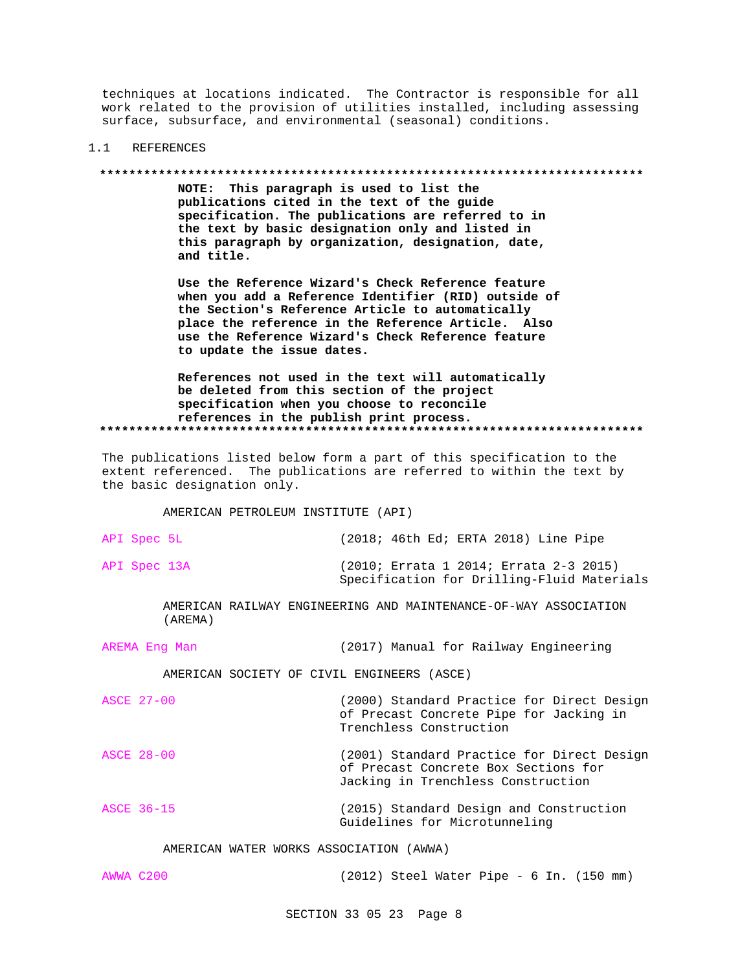techniques at locations indicated. The Contractor is responsible for all work related to the provision of utilities installed, including assessing surface, subsurface, and environmental (seasonal) conditions.

#### **REFERENCES**  $1.1$

#### 

NOTE: This paragraph is used to list the publications cited in the text of the guide specification. The publications are referred to in the text by basic designation only and listed in this paragraph by organization, designation, date, and title.

Use the Reference Wizard's Check Reference feature when you add a Reference Identifier (RID) outside of the Section's Reference Article to automatically place the reference in the Reference Article. Also use the Reference Wizard's Check Reference feature to update the issue dates.

References not used in the text will automatically be deleted from this section of the project specification when you choose to reconcile references in the publish print process. 

The publications listed below form a part of this specification to the extent referenced. The publications are referred to within the text by the basic designation only.

AMERICAN PETROLEUM INSTITUTE (API)

| API Spec 5L  | $(2018; 46th Ed; ERTA 2018)$ Line Pipe |  |  |  |  |
|--------------|----------------------------------------|--|--|--|--|
| API Spec 13A | (2010; Errata 1 2014; Errata 2-3 2015) |  |  |  |  |

AMERICAN RAILWAY ENGINEERING AND MAINTENANCE-OF-WAY ASSOCIATION  $(AREMA)$ 

Specification for Drilling-Fluid Materials

AREMA Eng Man (2017) Manual for Railway Engineering

AMERICAN SOCIETY OF CIVIL ENGINEERS (ASCE)

| <b>ASCE 27-00</b> | (2000) Standard Practice for Direct Design<br>of Precast Concrete Pipe for Jacking in<br>Trenchless Construction         |
|-------------------|--------------------------------------------------------------------------------------------------------------------------|
| ASCE 28-00        | (2001) Standard Practice for Direct Design<br>of Precast Concrete Box Sections for<br>Jacking in Trenchless Construction |
| ASCE 36-15        | (2015) Standard Design and Construction<br>Guidelines for Microtunneling                                                 |

AMERICAN WATER WORKS ASSOCIATION (AWWA)

AWWA C200 (2012) Steel Water Pipe - 6 In. (150 mm)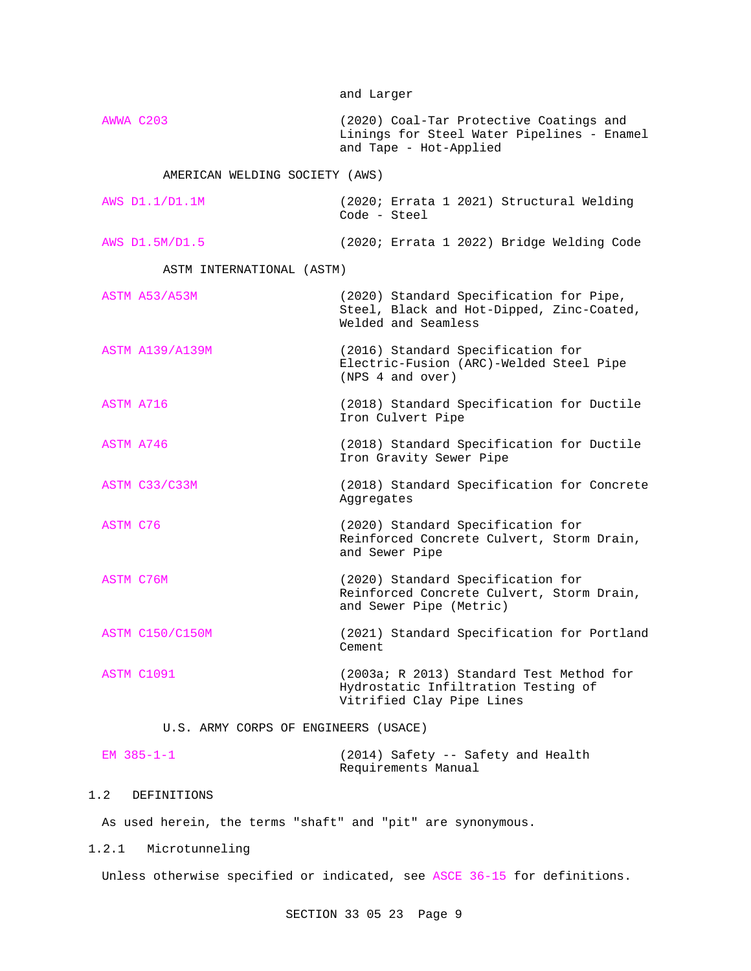and Larger AWWA C203 (2020) Coal-Tar Protective Coatings and Linings for Steel Water Pipelines - Enamel and Tape - Hot-Applied AMERICAN WELDING SOCIETY (AWS) AWS D1.1/D1.1M (2020; Errata 1 2021) Structural Welding Code - Steel AWS D1.5M/D1.5 (2020; Errata 1 2022) Bridge Welding Code ASTM INTERNATIONAL (ASTM) ASTM A53/A53M (2020) Standard Specification for Pipe, Steel, Black and Hot-Dipped, Zinc-Coated, Welded and Seamless ASTM A139/A139M (2016) Standard Specification for Electric-Fusion (ARC)-Welded Steel Pipe (NPS 4 and over) ASTM A716 (2018) Standard Specification for Ductile Iron Culvert Pipe ASTM A746 (2018) Standard Specification for Ductile Iron Gravity Sewer Pipe ASTM C33/C33M (2018) Standard Specification for Concrete Aggregates ASTM C76 (2020) Standard Specification for Reinforced Concrete Culvert, Storm Drain, and Sewer Pipe ASTM C76M (2020) Standard Specification for Reinforced Concrete Culvert, Storm Drain, and Sewer Pipe (Metric) ASTM C150/C150M (2021) Standard Specification for Portland Cement ASTM C1091 (2003a; R 2013) Standard Test Method for Hydrostatic Infiltration Testing of Vitrified Clay Pipe Lines U.S. ARMY CORPS OF ENGINEERS (USACE)

| EM $385 - 1 - 1$ |                     |  | (2014) Safety -- Safety and Health |  |
|------------------|---------------------|--|------------------------------------|--|
|                  | Requirements Manual |  |                                    |  |

# 1.2 DEFINITIONS

As used herein, the terms "shaft" and "pit" are synonymous.

### 1.2.1 Microtunneling

Unless otherwise specified or indicated, see ASCE 36-15 for definitions.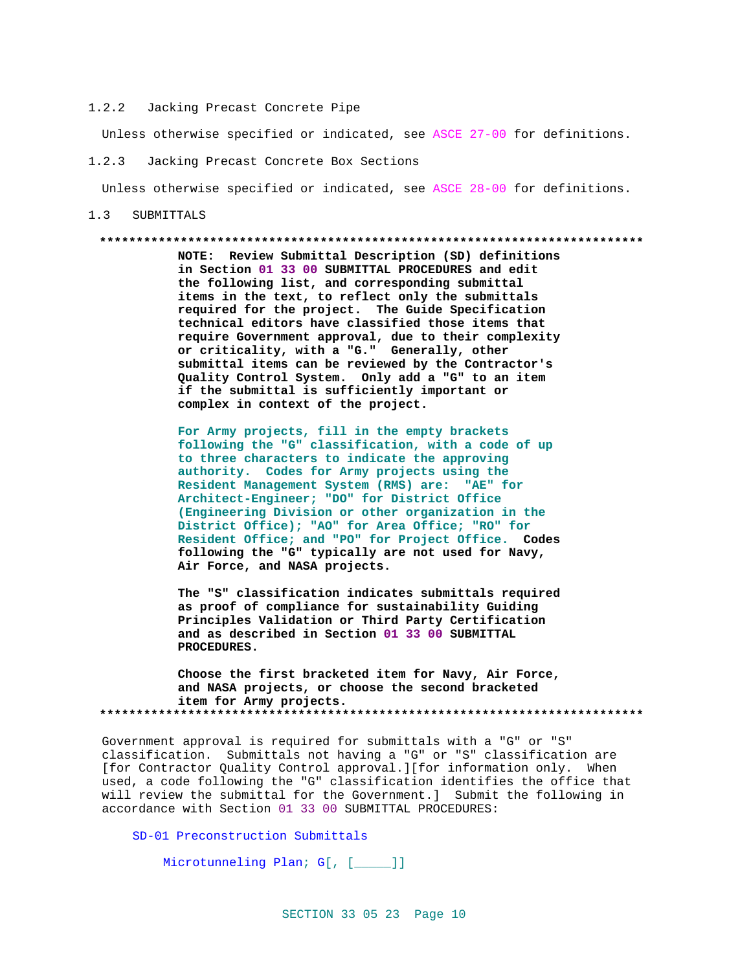#### $1.2.2$ Jacking Precast Concrete Pipe

Unless otherwise specified or indicated, see ASCE 27-00 for definitions.

#### $1.2.3$ Jacking Precast Concrete Box Sections

Unless otherwise specified or indicated, see ASCE 28-00 for definitions.

#### $1.3$ SUBMITTALS

#### 

NOTE: Review Submittal Description (SD) definitions in Section 01 33 00 SUBMITTAL PROCEDURES and edit the following list, and corresponding submittal items in the text, to reflect only the submittals required for the project. The Guide Specification technical editors have classified those items that require Government approval, due to their complexity or criticality, with a "G." Generally, other submittal items can be reviewed by the Contractor's Quality Control System. Only add a "G" to an item if the submittal is sufficiently important or complex in context of the project.

For Army projects, fill in the empty brackets following the "G" classification, with a code of up to three characters to indicate the approving authority. Codes for Army projects using the Resident Management System (RMS) are: "AE" for Architect-Engineer; "DO" for District Office (Engineering Division or other organization in the District Office); "AO" for Area Office; "RO" for Resident Office; and "PO" for Project Office. Codes following the "G" typically are not used for Navy, Air Force, and NASA projects.

The "S" classification indicates submittals required as proof of compliance for sustainability Guiding Principles Validation or Third Party Certification and as described in Section 01 33 00 SUBMITTAL PROCEDURES.

Choose the first bracketed item for Navy, Air Force, and NASA projects, or choose the second bracketed item for Army projects. 

Government approval is required for submittals with a "G" or "S" classification. Submittals not having a "G" or "S" classification are [for Contractor Quality Control approval.][for information only. When used, a code following the "G" classification identifies the office that will review the submittal for the Government.] Submit the following in accordance with Section 01 33 00 SUBMITTAL PROCEDURES:

SD-01 Preconstruction Submittals

Microtunneling Plan; G[, [\_\_\_\_]]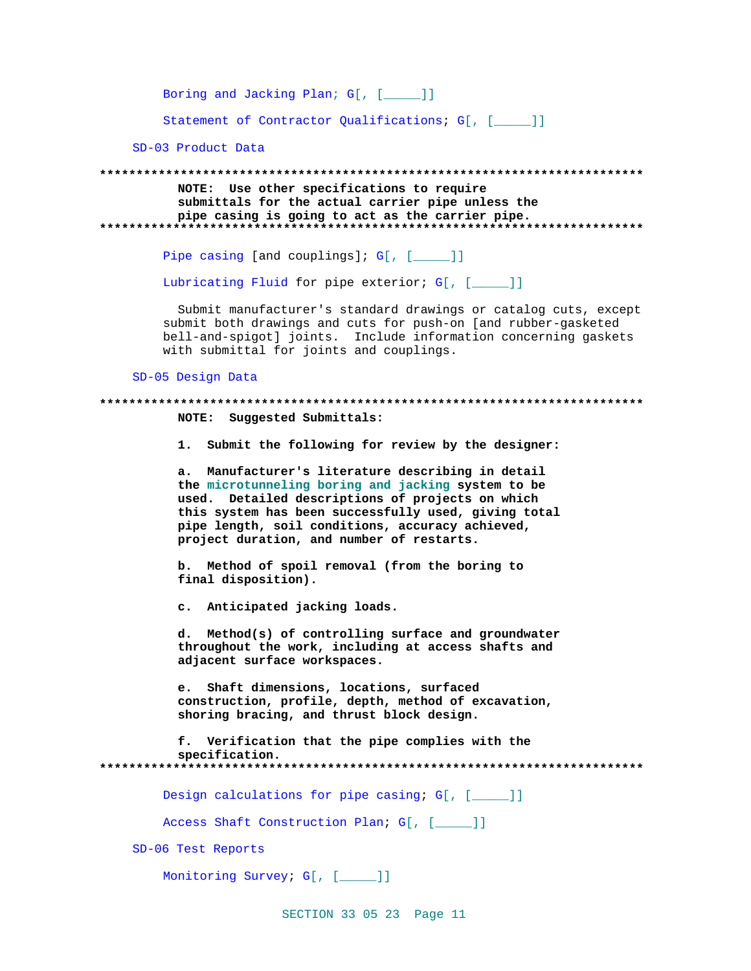Boring and Jacking Plan; G[, [\_\_\_\_]]

Statement of Contractor Qualifications; G[, [\_\_\_\_]]

SD-03 Product Data

NOTE: Use other specifications to require submittals for the actual carrier pipe unless the pipe casing is going to act as the carrier pipe. 

Pipe casing [and couplings]; G[, [\_\_\_\_]]

Lubricating Fluid for pipe exterior; G[, [\_\_\_\_]]

Submit manufacturer's standard drawings or catalog cuts, except submit both drawings and cuts for push-on [and rubber-gasketed bell-and-spigot] joints. Include information concerning gaskets with submittal for joints and couplings.

SD-05 Design Data

# NOTE: Suggested Submittals:

1. Submit the following for review by the designer:

a. Manufacturer's literature describing in detail the microtunneling boring and jacking system to be used. Detailed descriptions of projects on which this system has been successfully used, giving total pipe length, soil conditions, accuracy achieved, project duration, and number of restarts.

b. Method of spoil removal (from the boring to final disposition).

c. Anticipated jacking loads.

d. Method(s) of controlling surface and groundwater throughout the work, including at access shafts and adjacent surface workspaces.

e. Shaft dimensions, locations, surfaced construction, profile, depth, method of excavation, shoring bracing, and thrust block design.

f. Verification that the pipe complies with the specification. 

Design calculations for pipe casing; G[, [\_\_\_\_]]

Access Shaft Construction Plan; G[, [ ]]

SD-06 Test Reports

Monitoring Survey; G[, [\_\_\_\_]]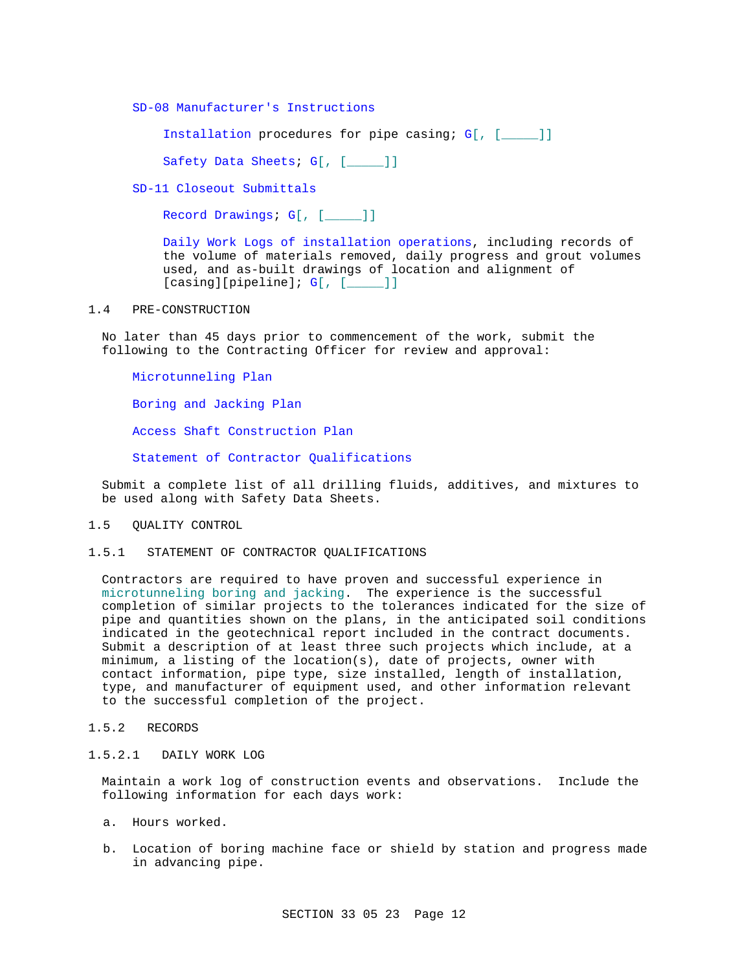SD-08 Manufacturer's Instructions

Installation procedures for pipe casing; G[, [\_\_\_\_\_]]

Safety Data Sheets; G[, [\_\_\_\_]]

SD-11 Closeout Submittals

Record Drawings; G[, [\_\_\_\_\_]]

Daily Work Logs of installation operations, including records of the volume of materials removed, daily progress and grout volumes used, and as-built drawings of location and alignment of  $[casing][pipeline]; G[, [$ 

#### 1.4 PRE-CONSTRUCTION

No later than 45 days prior to commencement of the work, submit the following to the Contracting Officer for review and approval:

Microtunneling Plan

Boring and Jacking Plan

Access Shaft Construction Plan

Statement of Contractor Qualifications

Submit a complete list of all drilling fluids, additives, and mixtures to be used along with Safety Data Sheets.

#### 1.5 QUALITY CONTROL

1.5.1 STATEMENT OF CONTRACTOR QUALIFICATIONS

Contractors are required to have proven and successful experience in microtunneling boring and jacking. The experience is the successful completion of similar projects to the tolerances indicated for the size of pipe and quantities shown on the plans, in the anticipated soil conditions indicated in the geotechnical report included in the contract documents. Submit a description of at least three such projects which include, at a minimum, a listing of the location(s), date of projects, owner with contact information, pipe type, size installed, length of installation, type, and manufacturer of equipment used, and other information relevant to the successful completion of the project.

#### 1.5.2 RECORDS

### 1.5.2.1 DAILY WORK LOG

Maintain a work log of construction events and observations. Include the following information for each days work:

- a. Hours worked.
- b. Location of boring machine face or shield by station and progress made in advancing pipe.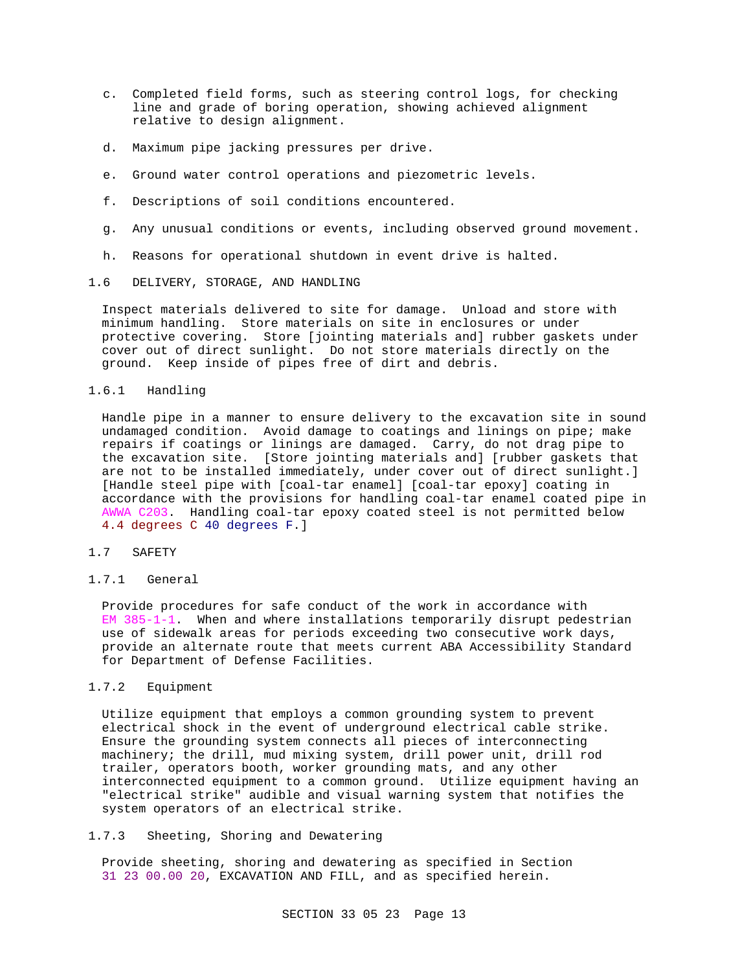- c. Completed field forms, such as steering control logs, for checking line and grade of boring operation, showing achieved alignment relative to design alignment.
- d. Maximum pipe jacking pressures per drive.
- e. Ground water control operations and piezometric levels.
- f. Descriptions of soil conditions encountered.
- g. Any unusual conditions or events, including observed ground movement.
- h. Reasons for operational shutdown in event drive is halted.
- 1.6 DELIVERY, STORAGE, AND HANDLING

Inspect materials delivered to site for damage. Unload and store with minimum handling. Store materials on site in enclosures or under protective covering. Store [jointing materials and] rubber gaskets under cover out of direct sunlight. Do not store materials directly on the ground. Keep inside of pipes free of dirt and debris.

#### 1.6.1 Handling

Handle pipe in a manner to ensure delivery to the excavation site in sound undamaged condition. Avoid damage to coatings and linings on pipe; make repairs if coatings or linings are damaged. Carry, do not drag pipe to the excavation site. [Store jointing materials and] [rubber gaskets that are not to be installed immediately, under cover out of direct sunlight.] [Handle steel pipe with [coal-tar enamel] [coal-tar epoxy] coating in accordance with the provisions for handling coal-tar enamel coated pipe in AWWA C203. Handling coal-tar epoxy coated steel is not permitted below 4.4 degrees C 40 degrees F.]

## 1.7 SAFETY

1.7.1 General

Provide procedures for safe conduct of the work in accordance with  $EM$  385-1-1. When and where installations temporarily disrupt pedestrian use of sidewalk areas for periods exceeding two consecutive work days, provide an alternate route that meets current ABA Accessibility Standard for Department of Defense Facilities.

## 1.7.2 Equipment

Utilize equipment that employs a common grounding system to prevent electrical shock in the event of underground electrical cable strike. Ensure the grounding system connects all pieces of interconnecting machinery; the drill, mud mixing system, drill power unit, drill rod trailer, operators booth, worker grounding mats, and any other interconnected equipment to a common ground. Utilize equipment having an "electrical strike" audible and visual warning system that notifies the system operators of an electrical strike.

1.7.3 Sheeting, Shoring and Dewatering

Provide sheeting, shoring and dewatering as specified in Section 31 23 00.00 20, EXCAVATION AND FILL, and as specified herein.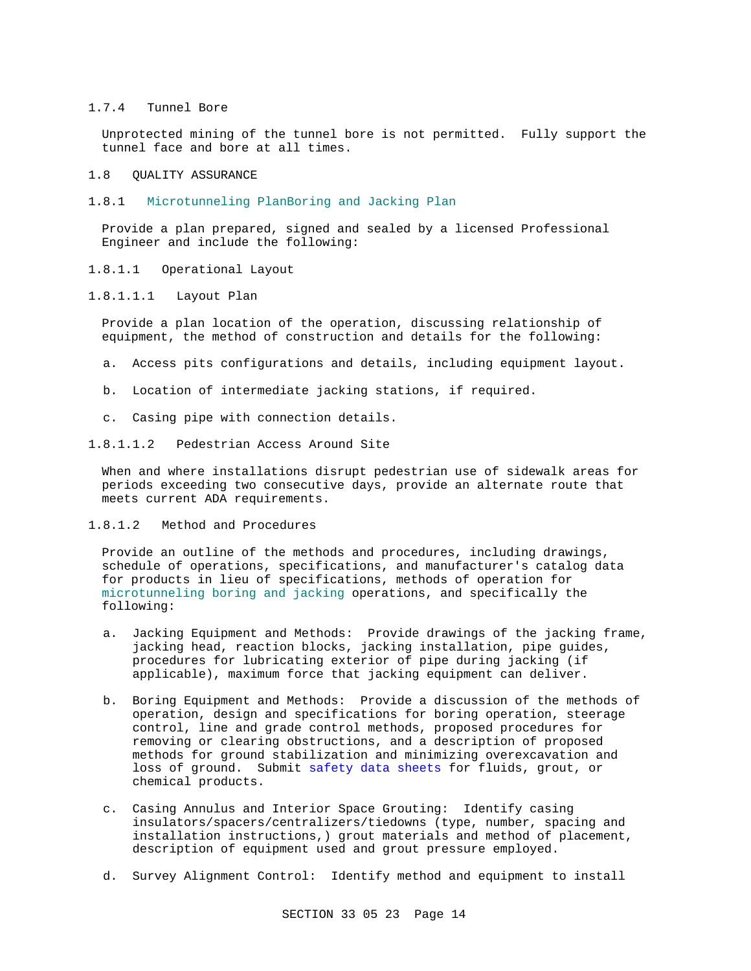#### 1.7.4 Tunnel Bore

Unprotected mining of the tunnel bore is not permitted. Fully support the tunnel face and bore at all times.

- 1.8 QUALITY ASSURANCE
- 1.8.1 Microtunneling PlanBoring and Jacking Plan

Provide a plan prepared, signed and sealed by a licensed Professional Engineer and include the following:

- 1.8.1.1 Operational Layout
- 1.8.1.1.1 Layout Plan

Provide a plan location of the operation, discussing relationship of equipment, the method of construction and details for the following:

- a. Access pits configurations and details, including equipment layout.
- b. Location of intermediate jacking stations, if required.
- c. Casing pipe with connection details.
- 1.8.1.1.2 Pedestrian Access Around Site

When and where installations disrupt pedestrian use of sidewalk areas for periods exceeding two consecutive days, provide an alternate route that meets current ADA requirements.

1.8.1.2 Method and Procedures

Provide an outline of the methods and procedures, including drawings, schedule of operations, specifications, and manufacturer's catalog data for products in lieu of specifications, methods of operation for microtunneling boring and jacking operations, and specifically the following:

- a. Jacking Equipment and Methods: Provide drawings of the jacking frame, jacking head, reaction blocks, jacking installation, pipe guides, procedures for lubricating exterior of pipe during jacking (if applicable), maximum force that jacking equipment can deliver.
- b. Boring Equipment and Methods: Provide a discussion of the methods of operation, design and specifications for boring operation, steerage control, line and grade control methods, proposed procedures for removing or clearing obstructions, and a description of proposed methods for ground stabilization and minimizing overexcavation and loss of ground. Submit safety data sheets for fluids, grout, or chemical products.
- c. Casing Annulus and Interior Space Grouting: Identify casing insulators/spacers/centralizers/tiedowns (type, number, spacing and installation instructions,) grout materials and method of placement, description of equipment used and grout pressure employed.
- d. Survey Alignment Control: Identify method and equipment to install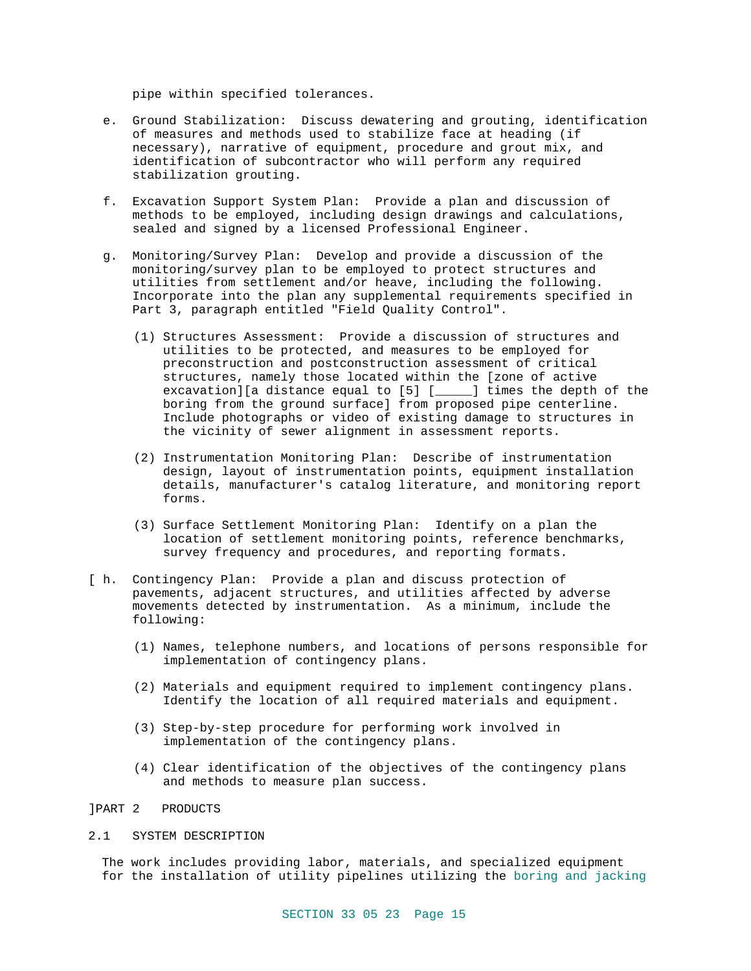pipe within specified tolerances.

- e. Ground Stabilization: Discuss dewatering and grouting, identification of measures and methods used to stabilize face at heading (if necessary), narrative of equipment, procedure and grout mix, and identification of subcontractor who will perform any required stabilization grouting.
- f. Excavation Support System Plan: Provide a plan and discussion of methods to be employed, including design drawings and calculations, sealed and signed by a licensed Professional Engineer.
- g. Monitoring/Survey Plan: Develop and provide a discussion of the monitoring/survey plan to be employed to protect structures and utilities from settlement and/or heave, including the following. Incorporate into the plan any supplemental requirements specified in Part 3, paragraph entitled "Field Quality Control".
	- (1) Structures Assessment: Provide a discussion of structures and utilities to be protected, and measures to be employed for preconstruction and postconstruction assessment of critical structures, namely those located within the [zone of active excavation][a distance equal to [5] [\_\_\_\_\_] times the depth of the boring from the ground surface] from proposed pipe centerline. Include photographs or video of existing damage to structures in the vicinity of sewer alignment in assessment reports.
	- (2) Instrumentation Monitoring Plan: Describe of instrumentation design, layout of instrumentation points, equipment installation details, manufacturer's catalog literature, and monitoring report forms.
	- (3) Surface Settlement Monitoring Plan: Identify on a plan the location of settlement monitoring points, reference benchmarks, survey frequency and procedures, and reporting formats.
- [ h. Contingency Plan: Provide a plan and discuss protection of pavements, adjacent structures, and utilities affected by adverse movements detected by instrumentation. As a minimum, include the following:
	- (1) Names, telephone numbers, and locations of persons responsible for implementation of contingency plans.
	- (2) Materials and equipment required to implement contingency plans. Identify the location of all required materials and equipment.
	- (3) Step-by-step procedure for performing work involved in implementation of the contingency plans.
	- (4) Clear identification of the objectives of the contingency plans and methods to measure plan success.
- ]PART 2 PRODUCTS

#### 2.1 SYSTEM DESCRIPTION

The work includes providing labor, materials, and specialized equipment for the installation of utility pipelines utilizing the boring and jacking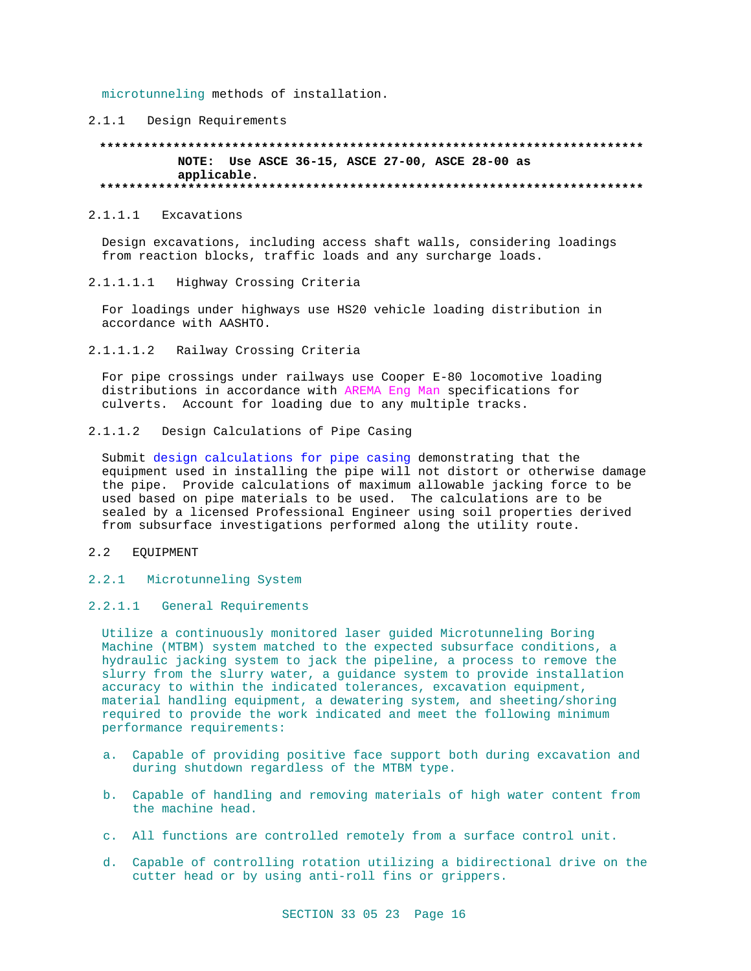microtunneling methods of installation.

## 2.1.1 Design Requirements

#### **\*\*\*\*\*\*\*\*\*\*\*\*\*\*\*\*\*\*\*\*\*\*\*\*\*\*\*\*\*\*\*\*\*\*\*\*\*\*\*\*\*\*\*\*\*\*\*\*\*\*\*\*\*\*\*\*\*\*\*\*\*\*\*\*\*\*\*\*\*\*\*\*\*\* NOTE: Use ASCE 36-15, ASCE 27-00, ASCE 28-00 as applicable. \*\*\*\*\*\*\*\*\*\*\*\*\*\*\*\*\*\*\*\*\*\*\*\*\*\*\*\*\*\*\*\*\*\*\*\*\*\*\*\*\*\*\*\*\*\*\*\*\*\*\*\*\*\*\*\*\*\*\*\*\*\*\*\*\*\*\*\*\*\*\*\*\*\***

#### 2.1.1.1 Excavations

Design excavations, including access shaft walls, considering loadings from reaction blocks, traffic loads and any surcharge loads.

2.1.1.1.1 Highway Crossing Criteria

For loadings under highways use HS20 vehicle loading distribution in accordance with AASHTO.

2.1.1.1.2 Railway Crossing Criteria

For pipe crossings under railways use Cooper E-80 locomotive loading distributions in accordance with AREMA Eng Man specifications for culverts. Account for loading due to any multiple tracks.

2.1.1.2 Design Calculations of Pipe Casing

Submit design calculations for pipe casing demonstrating that the equipment used in installing the pipe will not distort or otherwise damage the pipe. Provide calculations of maximum allowable jacking force to be used based on pipe materials to be used. The calculations are to be sealed by a licensed Professional Engineer using soil properties derived from subsurface investigations performed along the utility route.

#### 2.2 EQUIPMENT

2.2.1 Microtunneling System

### 2.2.1.1 General Requirements

Utilize a continuously monitored laser guided Microtunneling Boring Machine (MTBM) system matched to the expected subsurface conditions, a hydraulic jacking system to jack the pipeline, a process to remove the slurry from the slurry water, a guidance system to provide installation accuracy to within the indicated tolerances, excavation equipment, material handling equipment, a dewatering system, and sheeting/shoring required to provide the work indicated and meet the following minimum performance requirements:

- a. Capable of providing positive face support both during excavation and during shutdown regardless of the MTBM type.
- b. Capable of handling and removing materials of high water content from the machine head.
- c. All functions are controlled remotely from a surface control unit.
- d. Capable of controlling rotation utilizing a bidirectional drive on the cutter head or by using anti-roll fins or grippers.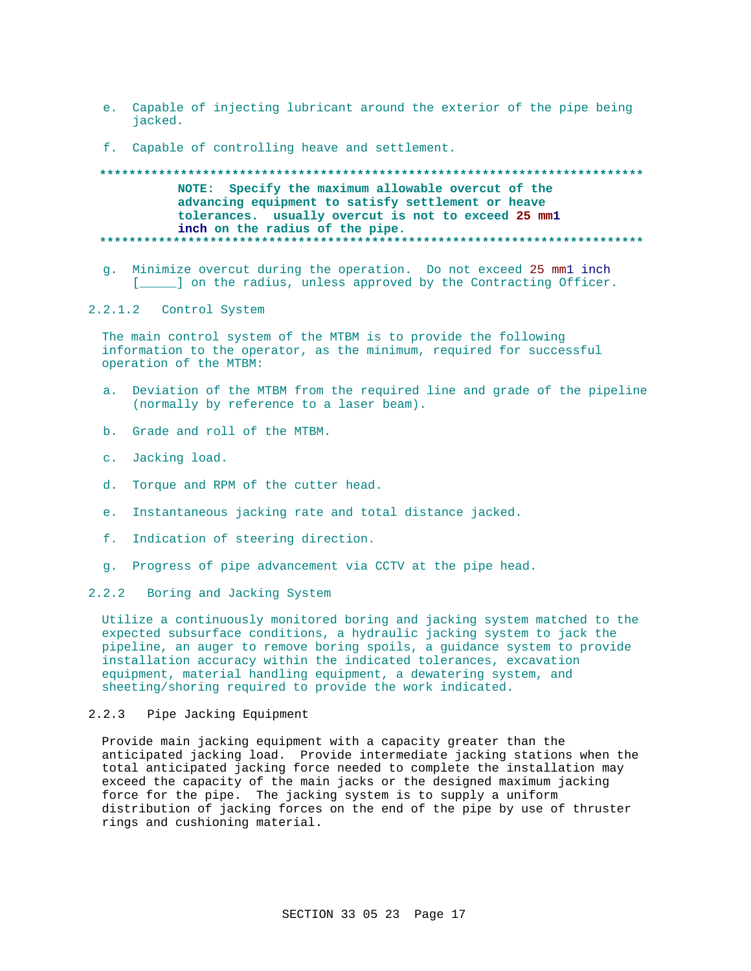- e. Capable of injecting lubricant around the exterior of the pipe being jacked.
- f. Capable of controlling heave and settlement.

## NOTE: Specify the maximum allowable overcut of the advancing equipment to satisfy settlement or heave tolerances. usually overcut is not to exceed 25 mml inch on the radius of the pipe.

g. Minimize overcut during the operation. Do not exceed 25 mml inch [\_\_\_\_\_] on the radius, unless approved by the Contracting Officer.

#### 2.2.1.2 Control System

The main control system of the MTBM is to provide the following information to the operator, as the minimum, required for successful operation of the MTBM:

- a. Deviation of the MTBM from the required line and grade of the pipeline (normally by reference to a laser beam).
- b. Grade and roll of the MTBM.
- c. Jacking load.
- d. Torque and RPM of the cutter head.
- e. Instantaneous jacking rate and total distance jacked.
- f. Indication of steering direction.
- g. Progress of pipe advancement via CCTV at the pipe head.

#### 2.2.2 Boring and Jacking System

Utilize a continuously monitored boring and jacking system matched to the expected subsurface conditions, a hydraulic jacking system to jack the pipeline, an auger to remove boring spoils, a guidance system to provide installation accuracy within the indicated tolerances, excavation equipment, material handling equipment, a dewatering system, and sheeting/shoring required to provide the work indicated.

#### Pipe Jacking Equipment  $2.2.3$

Provide main jacking equipment with a capacity greater than the anticipated jacking load. Provide intermediate jacking stations when the total anticipated jacking force needed to complete the installation may exceed the capacity of the main jacks or the designed maximum jacking force for the pipe. The jacking system is to supply a uniform distribution of jacking forces on the end of the pipe by use of thruster rings and cushioning material.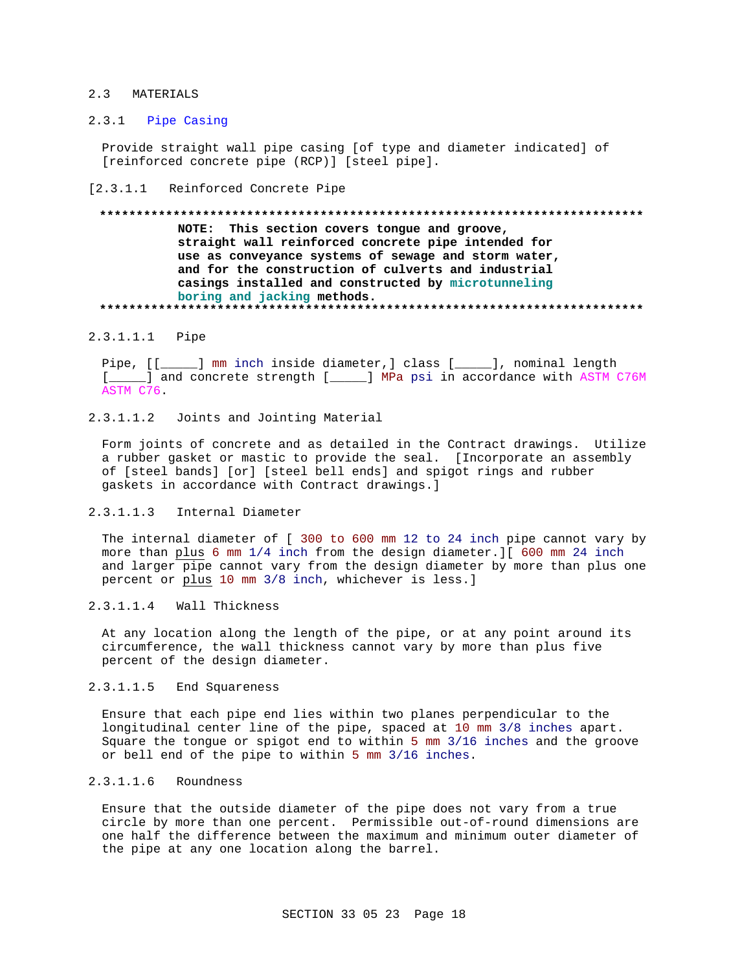## 2.3 MATERIALS

### 2.3.1 Pipe Casing

Provide straight wall pipe casing [of type and diameter indicated] of [reinforced concrete pipe (RCP)] [steel pipe].

[2.3.1.1 Reinforced Concrete Pipe

## **\*\*\*\*\*\*\*\*\*\*\*\*\*\*\*\*\*\*\*\*\*\*\*\*\*\*\*\*\*\*\*\*\*\*\*\*\*\*\*\*\*\*\*\*\*\*\*\*\*\*\*\*\*\*\*\*\*\*\*\*\*\*\*\*\*\*\*\*\*\*\*\*\*\* NOTE: This section covers tongue and groove, straight wall reinforced concrete pipe intended for use as conveyance systems of sewage and storm water, and for the construction of culverts and industrial casings installed and constructed by microtunneling boring and jacking methods. \*\*\*\*\*\*\*\*\*\*\*\*\*\*\*\*\*\*\*\*\*\*\*\*\*\*\*\*\*\*\*\*\*\*\*\*\*\*\*\*\*\*\*\*\*\*\*\*\*\*\*\*\*\*\*\*\*\*\*\*\*\*\*\*\*\*\*\*\*\*\*\*\*\***

#### 2.3.1.1.1 Pipe

Pipe, [[\_\_\_\_\_] mm inch inside diameter,] class [\_\_\_\_\_], nominal length [\_\_\_\_\_] and concrete strength [\_\_\_\_\_] MPa psi in accordance with ASTM C76M ASTM C76.

## 2.3.1.1.2 Joints and Jointing Material

Form joints of concrete and as detailed in the Contract drawings. Utilize a rubber gasket or mastic to provide the seal. [Incorporate an assembly of [steel bands] [or] [steel bell ends] and spigot rings and rubber gaskets in accordance with Contract drawings.]

### 2.3.1.1.3 Internal Diameter

The internal diameter of [ 300 to 600 mm 12 to 24 inch pipe cannot vary by more than plus 6 mm 1/4 inch from the design diameter.][ 600 mm 24 inch and larger pipe cannot vary from the design diameter by more than plus one percent or plus 10 mm 3/8 inch, whichever is less.]

## 2.3.1.1.4 Wall Thickness

At any location along the length of the pipe, or at any point around its circumference, the wall thickness cannot vary by more than plus five percent of the design diameter.

## 2.3.1.1.5 End Squareness

Ensure that each pipe end lies within two planes perpendicular to the longitudinal center line of the pipe, spaced at 10 mm 3/8 inches apart. Square the tongue or spigot end to within 5 mm 3/16 inches and the groove or bell end of the pipe to within 5 mm 3/16 inches.

# 2.3.1.1.6 Roundness

Ensure that the outside diameter of the pipe does not vary from a true circle by more than one percent. Permissible out-of-round dimensions are one half the difference between the maximum and minimum outer diameter of the pipe at any one location along the barrel.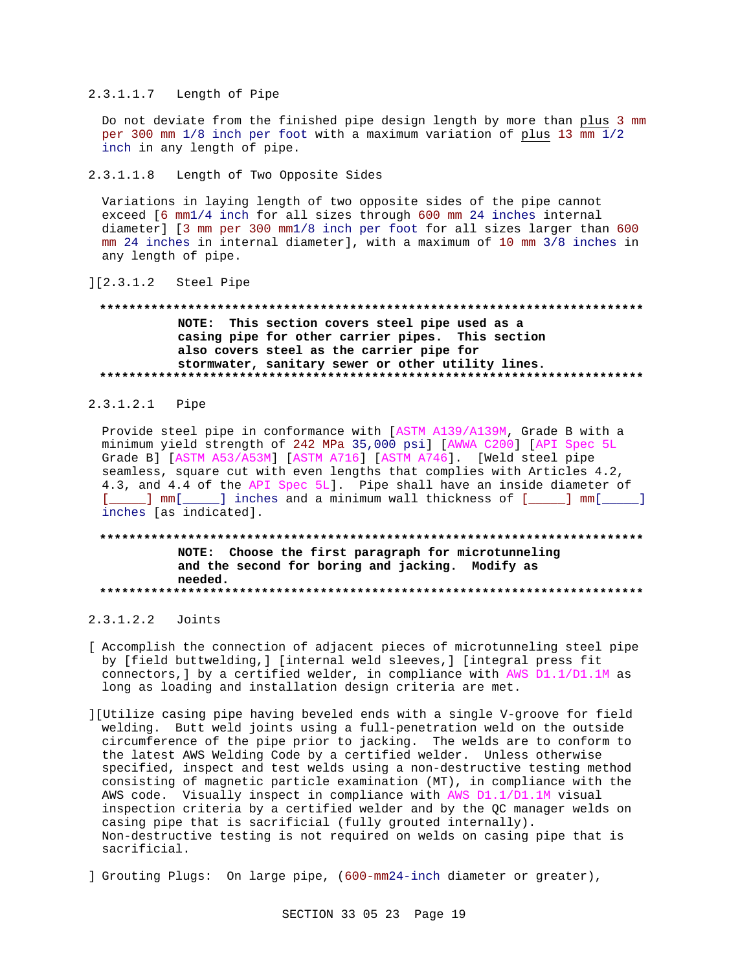#### 2.3.1.1.7 Length of Pipe

Do not deviate from the finished pipe design length by more than plus 3 mm per 300 mm  $1/8$  inch per foot with a maximum variation of plus 13  $\frac{1}{mm}$   $\frac{1}{2}$ inch in any length of pipe.

#### 2.3.1.1.8 Length of Two Opposite Sides

Variations in laying length of two opposite sides of the pipe cannot exceed [6 mm1/4 inch for all sizes through 600 mm 24 inches internal diameter] [3 mm per 300 mm1/8 inch per foot for all sizes larger than 600 mm 24 inches in internal diameter], with a maximum of 10 mm 3/8 inches in any length of pipe.

### ][2.3.1.2 Steel Pipe

## **\*\*\*\*\*\*\*\*\*\*\*\*\*\*\*\*\*\*\*\*\*\*\*\*\*\*\*\*\*\*\*\*\*\*\*\*\*\*\*\*\*\*\*\*\*\*\*\*\*\*\*\*\*\*\*\*\*\*\*\*\*\*\*\*\*\*\*\*\*\*\*\*\*\* NOTE: This section covers steel pipe used as a casing pipe for other carrier pipes. This section also covers steel as the carrier pipe for stormwater, sanitary sewer or other utility lines. \*\*\*\*\*\*\*\*\*\*\*\*\*\*\*\*\*\*\*\*\*\*\*\*\*\*\*\*\*\*\*\*\*\*\*\*\*\*\*\*\*\*\*\*\*\*\*\*\*\*\*\*\*\*\*\*\*\*\*\*\*\*\*\*\*\*\*\*\*\*\*\*\*\***

### 2.3.1.2.1 Pipe

Provide steel pipe in conformance with [ASTM A139/A139M, Grade B with a minimum yield strength of 242 MPa 35,000 psi] [AWWA C200] [API Spec 5L Grade B] [ASTM A53/A53M] [ASTM A716] [ASTM A746]. [Weld steel pipe seamless, square cut with even lengths that complies with Articles 4.2, 4.3, and 4.4 of the API Spec 5L]. Pipe shall have an inside diameter of [\_\_\_\_\_] mm[\_\_\_\_\_] inches and a minimum wall thickness of [\_\_\_\_] mm[\_\_\_\_\_] inches [as indicated].

### **\*\*\*\*\*\*\*\*\*\*\*\*\*\*\*\*\*\*\*\*\*\*\*\*\*\*\*\*\*\*\*\*\*\*\*\*\*\*\*\*\*\*\*\*\*\*\*\*\*\*\*\*\*\*\*\*\*\*\*\*\*\*\*\*\*\*\*\*\*\*\*\*\*\* NOTE: Choose the first paragraph for microtunneling and the second for boring and jacking. Modify as needed. \*\*\*\*\*\*\*\*\*\*\*\*\*\*\*\*\*\*\*\*\*\*\*\*\*\*\*\*\*\*\*\*\*\*\*\*\*\*\*\*\*\*\*\*\*\*\*\*\*\*\*\*\*\*\*\*\*\*\*\*\*\*\*\*\*\*\*\*\*\*\*\*\*\***

### 2.3.1.2.2 Joints

- [ Accomplish the connection of adjacent pieces of microtunneling steel pipe by [field buttwelding,] [internal weld sleeves,] [integral press fit connectors,] by a certified welder, in compliance with AWS D1.1/D1.1M as long as loading and installation design criteria are met.
- ][Utilize casing pipe having beveled ends with a single V-groove for field welding. Butt weld joints using a full-penetration weld on the outside circumference of the pipe prior to jacking. The welds are to conform to the latest AWS Welding Code by a certified welder. Unless otherwise specified, inspect and test welds using a non-destructive testing method consisting of magnetic particle examination (MT), in compliance with the AWS code. Visually inspect in compliance with AWS D1.1/D1.1M visual inspection criteria by a certified welder and by the QC manager welds on casing pipe that is sacrificial (fully grouted internally). Non-destructive testing is not required on welds on casing pipe that is sacrificial.
- ] Grouting Plugs: On large pipe, (600-mm24-inch diameter or greater),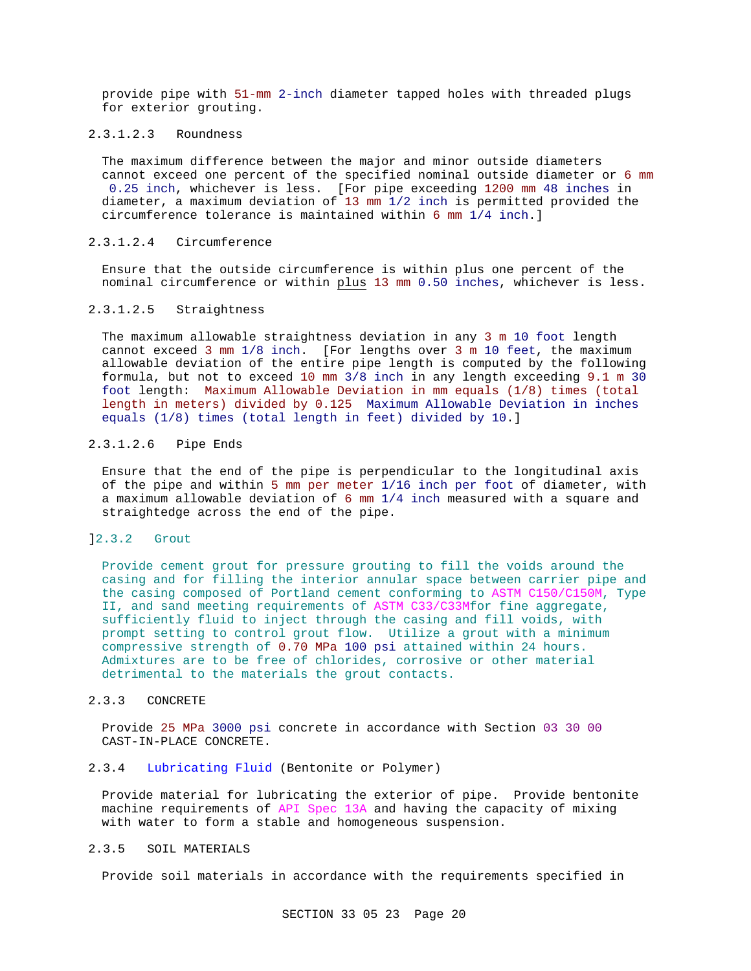provide pipe with 51-mm 2-inch diameter tapped holes with threaded plugs for exterior grouting.

#### 2.3.1.2.3 Roundness

The maximum difference between the major and minor outside diameters cannot exceed one percent of the specified nominal outside diameter or 6 mm 0.25 inch, whichever is less. [For pipe exceeding 1200 mm 48 inches in diameter, a maximum deviation of 13 mm 1/2 inch is permitted provided the circumference tolerance is maintained within 6 mm 1/4 inch.]

### 2.3.1.2.4 Circumference

Ensure that the outside circumference is within plus one percent of the nominal circumference or within plus 13 mm 0.50 inches, whichever is less.

#### 2.3.1.2.5 Straightness

The maximum allowable straightness deviation in any 3 m 10 foot length cannot exceed 3 mm 1/8 inch. [For lengths over 3 m 10 feet, the maximum allowable deviation of the entire pipe length is computed by the following formula, but not to exceed 10 mm 3/8 inch in any length exceeding 9.1 m 30 foot length: Maximum Allowable Deviation in mm equals (1/8) times (total length in meters) divided by 0.125 Maximum Allowable Deviation in inches equals (1/8) times (total length in feet) divided by 10.]

### 2.3.1.2.6 Pipe Ends

Ensure that the end of the pipe is perpendicular to the longitudinal axis of the pipe and within 5 mm per meter 1/16 inch per foot of diameter, with a maximum allowable deviation of 6 mm 1/4 inch measured with a square and straightedge across the end of the pipe.

#### ]2.3.2 Grout

Provide cement grout for pressure grouting to fill the voids around the casing and for filling the interior annular space between carrier pipe and the casing composed of Portland cement conforming to ASTM C150/C150M, Type II, and sand meeting requirements of ASTM C33/C33Mfor fine aggregate, sufficiently fluid to inject through the casing and fill voids, with prompt setting to control grout flow. Utilize a grout with a minimum compressive strength of 0.70 MPa 100 psi attained within 24 hours. Admixtures are to be free of chlorides, corrosive or other material detrimental to the materials the grout contacts.

#### 2.3.3 CONCRETE

Provide 25 MPa 3000 psi concrete in accordance with Section 03 30 00 CAST-IN-PLACE CONCRETE.

### 2.3.4 Lubricating Fluid (Bentonite or Polymer)

Provide material for lubricating the exterior of pipe. Provide bentonite machine requirements of API Spec 13A and having the capacity of mixing with water to form a stable and homogeneous suspension.

### 2.3.5 SOIL MATERIALS

Provide soil materials in accordance with the requirements specified in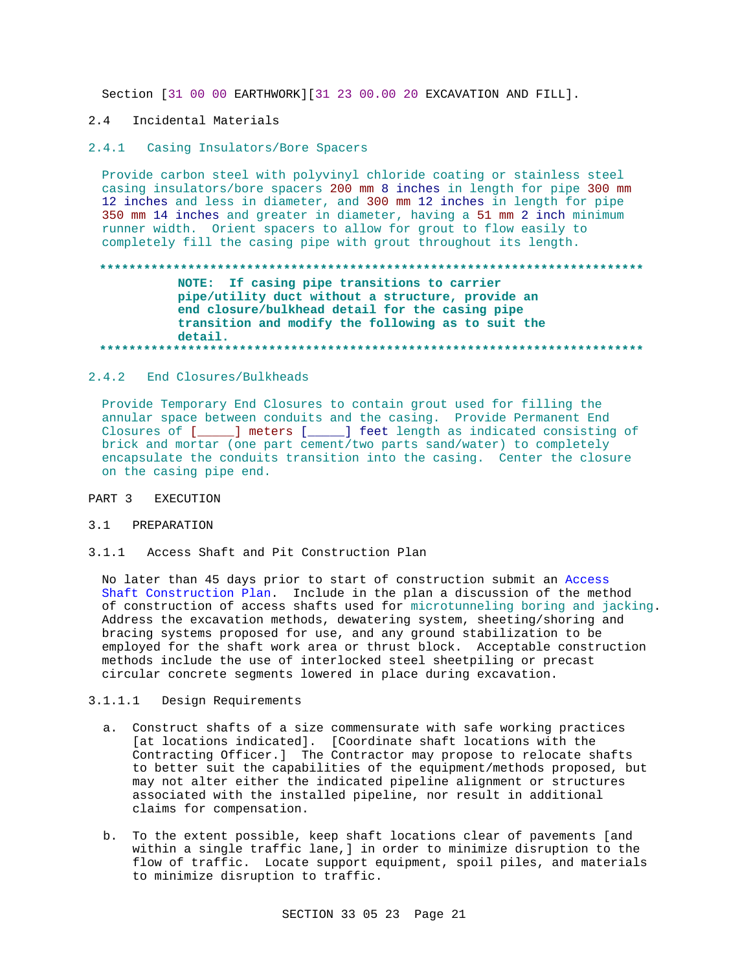Section [31 00 00 EARTHWORK] [31 23 00.00 20 EXCAVATION AND FILL].

#### $2.4$ Incidental Materials

#### 2.4.1 Casing Insulators/Bore Spacers

Provide carbon steel with polyvinyl chloride coating or stainless steel casing insulators/bore spacers 200 mm 8 inches in length for pipe 300 mm 12 inches and less in diameter, and 300 mm 12 inches in length for pipe 350 mm 14 inches and greater in diameter, having a 51 mm 2 inch minimum runner width. Orient spacers to allow for grout to flow easily to completely fill the casing pipe with grout throughout its length.

## NOTE: If casing pipe transitions to carrier pipe/utility duct without a structure, provide an end closure/bulkhead detail for the casing pipe transition and modify the following as to suit the detail.

## 2.4.2 End Closures/Bulkheads

Provide Temporary End Closures to contain grout used for filling the annular space between conduits and the casing. Provide Permanent End Closures of [\_\_\_\_\_] meters [\_\_\_\_\_] feet length as indicated consisting of brick and mortar (one part cement/two parts sand/water) to completely encapsulate the conduits transition into the casing. Center the closure on the casing pipe end.

#### PART 3 **EXECUTION**

### 3.1 PREPARATION

 $3.1.1$ Access Shaft and Pit Construction Plan

No later than 45 days prior to start of construction submit an Access Shaft Construction Plan. Include in the plan a discussion of the method of construction of access shafts used for microtunneling boring and jacking. Address the excavation methods, dewatering system, sheeting/shoring and bracing systems proposed for use, and any ground stabilization to be employed for the shaft work area or thrust block. Acceptable construction methods include the use of interlocked steel sheetpiling or precast circular concrete segments lowered in place during excavation.

## 3.1.1.1 Design Requirements

- a. Construct shafts of a size commensurate with safe working practices [at locations indicated]. [Coordinate shaft locations with the Contracting Officer.] The Contractor may propose to relocate shafts to better suit the capabilities of the equipment/methods proposed, but may not alter either the indicated pipeline alignment or structures associated with the installed pipeline, nor result in additional claims for compensation.
- b. To the extent possible, keep shaft locations clear of pavements [and within a single traffic lane, ] in order to minimize disruption to the flow of traffic. Locate support equipment, spoil piles, and materials to minimize disruption to traffic.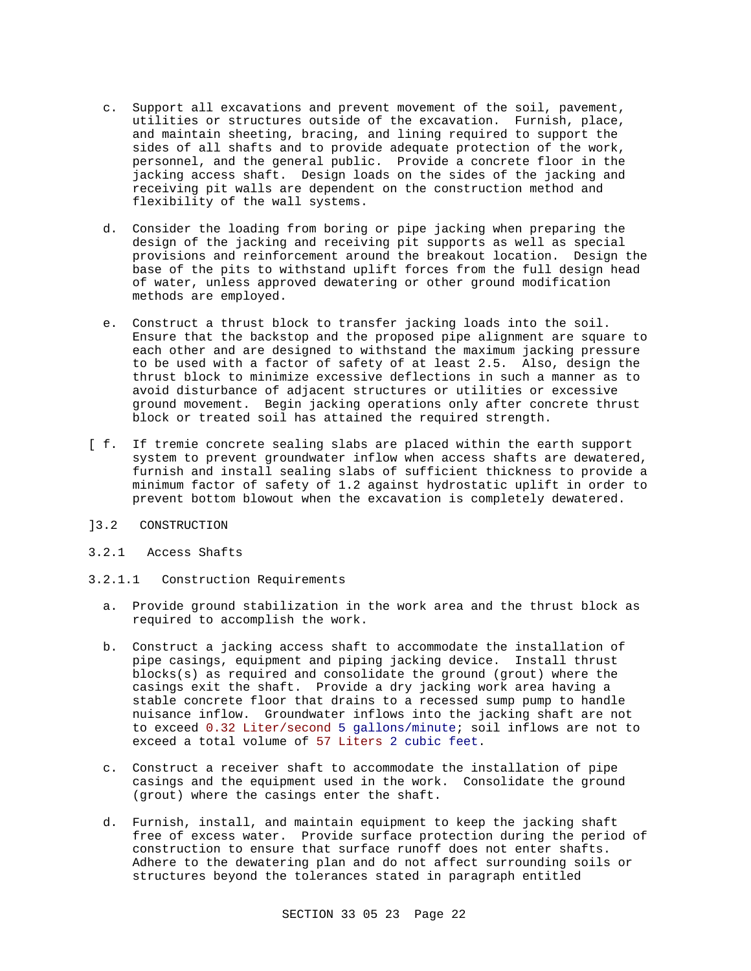- c. Support all excavations and prevent movement of the soil, pavement, utilities or structures outside of the excavation. Furnish, place, and maintain sheeting, bracing, and lining required to support the sides of all shafts and to provide adequate protection of the work, personnel, and the general public. Provide a concrete floor in the jacking access shaft. Design loads on the sides of the jacking and receiving pit walls are dependent on the construction method and flexibility of the wall systems.
- d. Consider the loading from boring or pipe jacking when preparing the design of the jacking and receiving pit supports as well as special provisions and reinforcement around the breakout location. Design the base of the pits to withstand uplift forces from the full design head of water, unless approved dewatering or other ground modification methods are employed.
- e. Construct a thrust block to transfer jacking loads into the soil. Ensure that the backstop and the proposed pipe alignment are square to each other and are designed to withstand the maximum jacking pressure to be used with a factor of safety of at least 2.5. Also, design the thrust block to minimize excessive deflections in such a manner as to avoid disturbance of adjacent structures or utilities or excessive ground movement. Begin jacking operations only after concrete thrust block or treated soil has attained the required strength.
- [ f. If tremie concrete sealing slabs are placed within the earth support system to prevent groundwater inflow when access shafts are dewatered, furnish and install sealing slabs of sufficient thickness to provide a minimum factor of safety of 1.2 against hydrostatic uplift in order to prevent bottom blowout when the excavation is completely dewatered.
- ]3.2 CONSTRUCTION
- 3.2.1 Access Shafts
- 3.2.1.1 Construction Requirements
	- a. Provide ground stabilization in the work area and the thrust block as required to accomplish the work.
	- b. Construct a jacking access shaft to accommodate the installation of pipe casings, equipment and piping jacking device. Install thrust blocks(s) as required and consolidate the ground (grout) where the casings exit the shaft. Provide a dry jacking work area having a stable concrete floor that drains to a recessed sump pump to handle nuisance inflow. Groundwater inflows into the jacking shaft are not to exceed 0.32 Liter/second 5 gallons/minute; soil inflows are not to exceed a total volume of 57 Liters 2 cubic feet.
	- c. Construct a receiver shaft to accommodate the installation of pipe casings and the equipment used in the work. Consolidate the ground (grout) where the casings enter the shaft.
	- d. Furnish, install, and maintain equipment to keep the jacking shaft free of excess water. Provide surface protection during the period of construction to ensure that surface runoff does not enter shafts. Adhere to the dewatering plan and do not affect surrounding soils or structures beyond the tolerances stated in paragraph entitled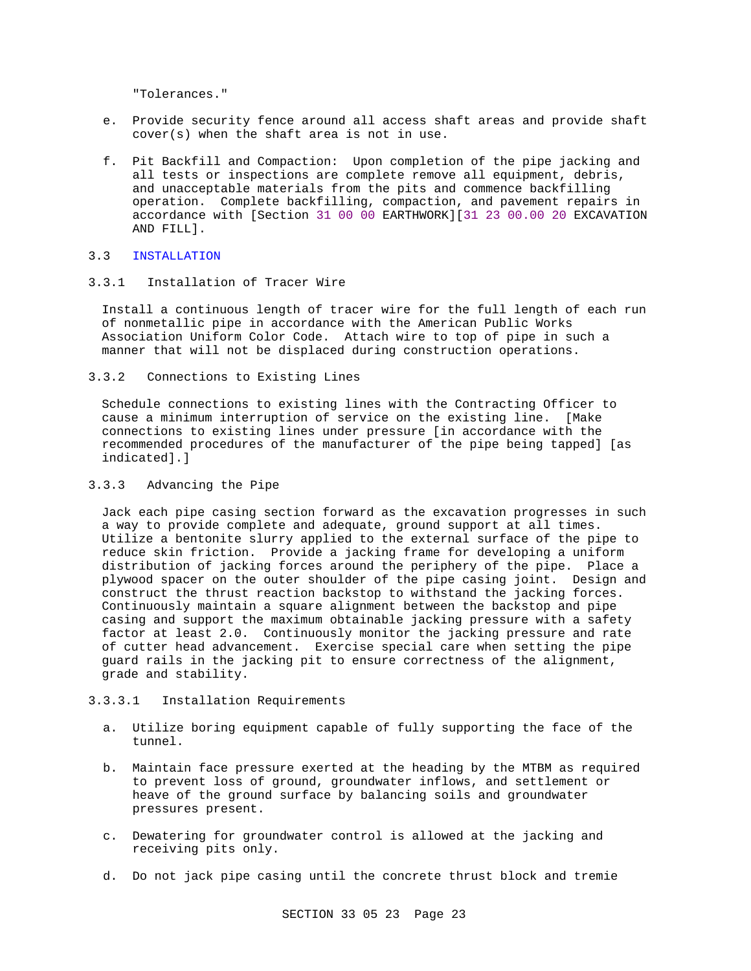"Tolerances."

- e. Provide security fence around all access shaft areas and provide shaft cover(s) when the shaft area is not in use.
- f. Pit Backfill and Compaction: Upon completion of the pipe jacking and all tests or inspections are complete remove all equipment, debris, and unacceptable materials from the pits and commence backfilling operation. Complete backfilling, compaction, and pavement repairs in accordance with [Section 31 00 00 EARTHWORK][31 23 00.00 20 EXCAVATION AND FILL].

#### 3.3 INSTALLATION

# 3.3.1 Installation of Tracer Wire

Install a continuous length of tracer wire for the full length of each run of nonmetallic pipe in accordance with the American Public Works Association Uniform Color Code. Attach wire to top of pipe in such a manner that will not be displaced during construction operations.

3.3.2 Connections to Existing Lines

Schedule connections to existing lines with the Contracting Officer to cause a minimum interruption of service on the existing line. [Make connections to existing lines under pressure [in accordance with the recommended procedures of the manufacturer of the pipe being tapped] [as indicated].]

### 3.3.3 Advancing the Pipe

Jack each pipe casing section forward as the excavation progresses in such a way to provide complete and adequate, ground support at all times. Utilize a bentonite slurry applied to the external surface of the pipe to reduce skin friction. Provide a jacking frame for developing a uniform distribution of jacking forces around the periphery of the pipe. Place a plywood spacer on the outer shoulder of the pipe casing joint. Design and construct the thrust reaction backstop to withstand the jacking forces. Continuously maintain a square alignment between the backstop and pipe casing and support the maximum obtainable jacking pressure with a safety factor at least 2.0. Continuously monitor the jacking pressure and rate of cutter head advancement. Exercise special care when setting the pipe guard rails in the jacking pit to ensure correctness of the alignment, grade and stability.

#### 3.3.3.1 Installation Requirements

- a. Utilize boring equipment capable of fully supporting the face of the tunnel.
- b. Maintain face pressure exerted at the heading by the MTBM as required to prevent loss of ground, groundwater inflows, and settlement or heave of the ground surface by balancing soils and groundwater pressures present.
- c. Dewatering for groundwater control is allowed at the jacking and receiving pits only.
- d. Do not jack pipe casing until the concrete thrust block and tremie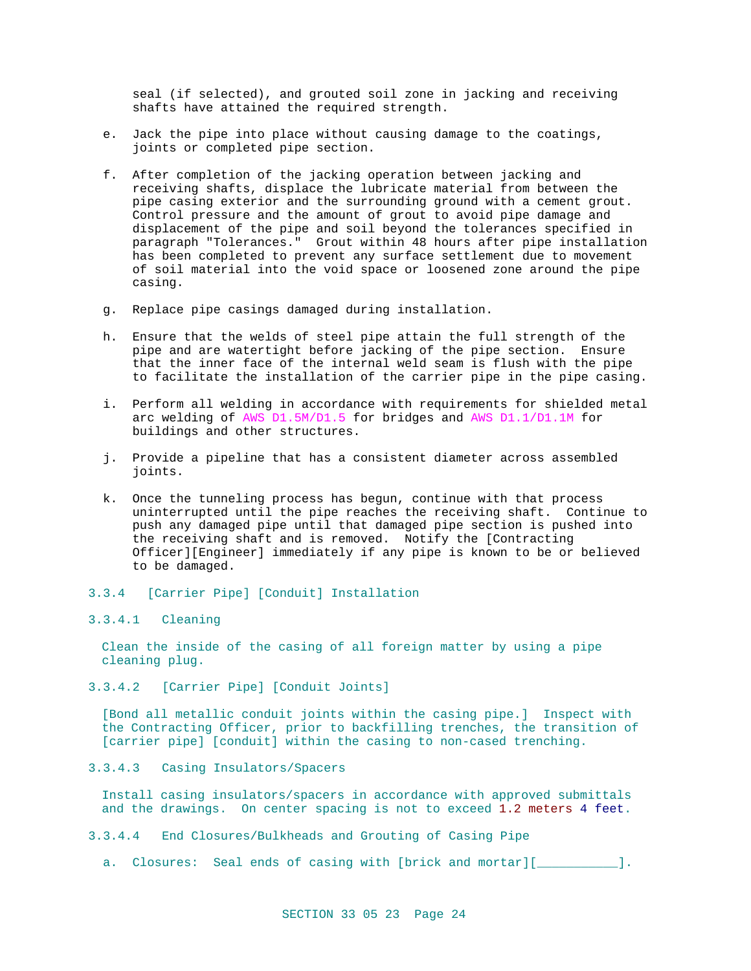seal (if selected), and grouted soil zone in jacking and receiving shafts have attained the required strength.

- e. Jack the pipe into place without causing damage to the coatings, joints or completed pipe section.
- f. After completion of the jacking operation between jacking and receiving shafts, displace the lubricate material from between the pipe casing exterior and the surrounding ground with a cement grout. Control pressure and the amount of grout to avoid pipe damage and displacement of the pipe and soil beyond the tolerances specified in paragraph "Tolerances." Grout within 48 hours after pipe installation has been completed to prevent any surface settlement due to movement of soil material into the void space or loosened zone around the pipe casing.
- g. Replace pipe casings damaged during installation.
- h. Ensure that the welds of steel pipe attain the full strength of the pipe and are watertight before jacking of the pipe section. Ensure that the inner face of the internal weld seam is flush with the pipe to facilitate the installation of the carrier pipe in the pipe casing.
- i. Perform all welding in accordance with requirements for shielded metal arc welding of AWS D1.5M/D1.5 for bridges and AWS D1.1/D1.1M for buildings and other structures.
- j. Provide a pipeline that has a consistent diameter across assembled joints.
- k. Once the tunneling process has begun, continue with that process uninterrupted until the pipe reaches the receiving shaft. Continue to push any damaged pipe until that damaged pipe section is pushed into the receiving shaft and is removed. Notify the [Contracting Officer][Engineer] immediately if any pipe is known to be or believed to be damaged.

## 3.3.4 [Carrier Pipe] [Conduit] Installation

### 3.3.4.1 Cleaning

Clean the inside of the casing of all foreign matter by using a pipe cleaning plug.

3.3.4.2 [Carrier Pipe] [Conduit Joints]

[Bond all metallic conduit joints within the casing pipe.] Inspect with the Contracting Officer, prior to backfilling trenches, the transition of [carrier pipe] [conduit] within the casing to non-cased trenching.

3.3.4.3 Casing Insulators/Spacers

Install casing insulators/spacers in accordance with approved submittals and the drawings. On center spacing is not to exceed 1.2 meters 4 feet.

- 3.3.4.4 End Closures/Bulkheads and Grouting of Casing Pipe
	- a. Closures: Seal ends of casing with [brick and mortar][\_\_\_\_\_\_\_\_\_\_\_].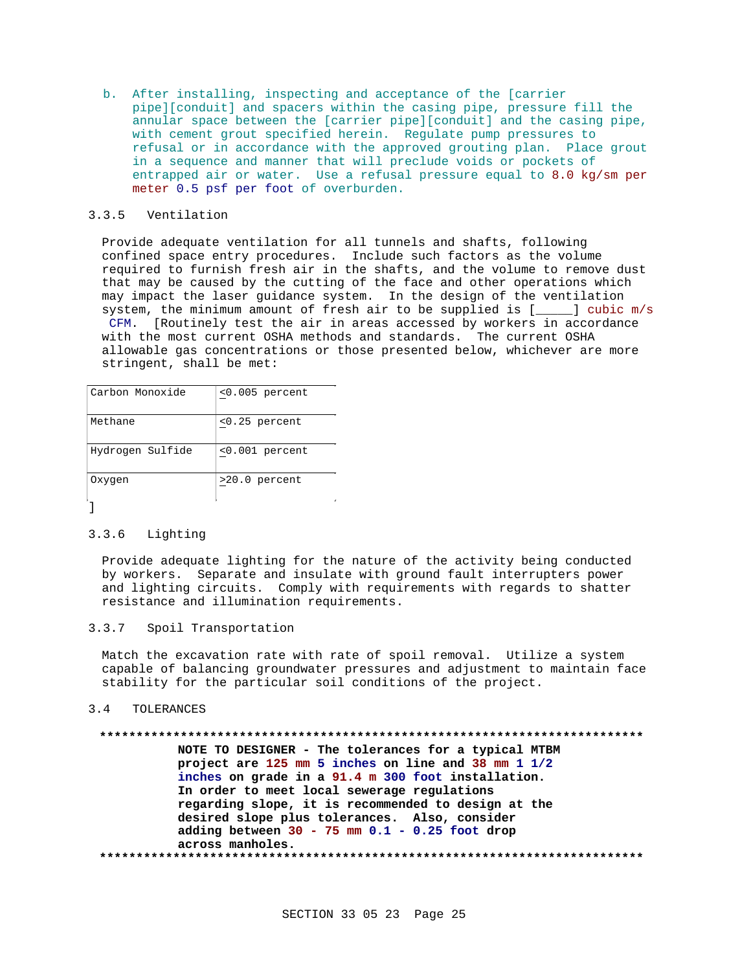b. After installing, inspecting and acceptance of the [carrier pipe][conduit] and spacers within the casing pipe, pressure fill the annular space between the [carrier pipe][conduit] and the casing pipe, with cement grout specified herein. Regulate pump pressures to refusal or in accordance with the approved grouting plan. Place grout in a sequence and manner that will preclude voids or pockets of entrapped air or water. Use a refusal pressure equal to 8.0 kg/sm per meter 0.5 psf per foot of overburden.

## 3.3.5 Ventilation

Provide adequate ventilation for all tunnels and shafts, following confined space entry procedures. Include such factors as the volume required to furnish fresh air in the shafts, and the volume to remove dust that may be caused by the cutting of the face and other operations which may impact the laser guidance system. In the design of the ventilation system, the minimum amount of fresh air to be supplied is [\_\_\_\_] cubic m/s

CFM. [Routinely test the air in areas accessed by workers in accordance with the most current OSHA methods and standards. The current OSHA allowable gas concentrations or those presented below, whichever are more stringent, shall be met:

| Carbon Monoxide  | $0.005$ percent |
|------------------|-----------------|
| Methane          | $0.25 percent$  |
| Hydrogen Sulfide | $0.001$ percent |
| Oxygen           | $>20.0$ percent |
|                  |                 |

#### $3.3.6$ Lighting

Provide adequate lighting for the nature of the activity being conducted by workers. Separate and insulate with ground fault interrupters power and lighting circuits. Comply with requirements with regards to shatter resistance and illumination requirements.

 $3.3.7$ Spoil Transportation

Match the excavation rate with rate of spoil removal. Utilize a system capable of balancing groundwater pressures and adjustment to maintain face stability for the particular soil conditions of the project.

#### $3.4$ TOLERANCES

NOTE TO DESIGNER - The tolerances for a typical MTBM project are 125 mm 5 inches on line and 38 mm 1 1/2 inches on grade in a 91.4 m 300 foot installation. In order to meet local sewerage regulations regarding slope, it is recommended to design at the desired slope plus tolerances. Also, consider adding between  $30 - 75$  mm  $0.1 - 0.25$  foot drop across manholes.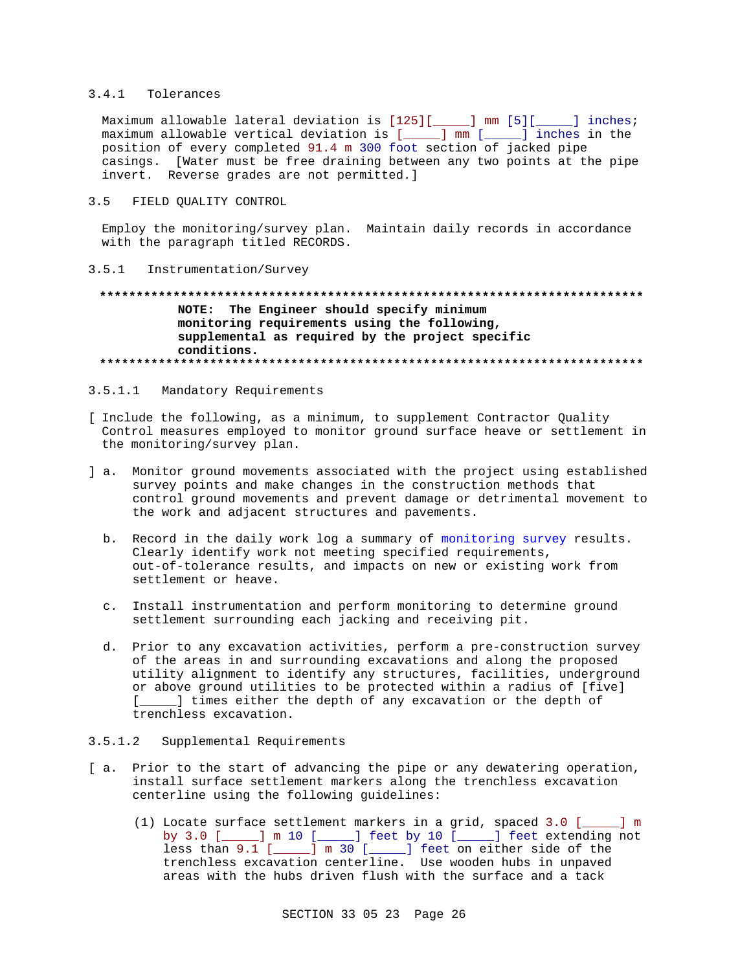### 3.4.1 Tolerances

Maximum allowable lateral deviation is [125][\_\_\_\_\_] mm [5][\_\_\_\_\_] inches; maximum allowable vertical deviation is [\_\_\_\_\_] mm [\_\_\_\_\_] inches in the position of every completed 91.4 m 300 foot section of jacked pipe casings. [Water must be free draining between any two points at the pipe invert. Reverse grades are not permitted.]

#### $3.5$ FIELD QUALITY CONTROL

Employ the monitoring/survey plan. Maintain daily records in accordance with the paragraph titled RECORDS.

### 3.5.1 Instrumentation/Survey

## NOTE: The Engineer should specify minimum monitoring requirements using the following, supplemental as required by the project specific conditions.

#### $3.5.1.1$ Mandatory Requirements

- [ Include the following, as a minimum, to supplement Contractor Ouality Control measures employed to monitor ground surface heave or settlement in the monitoring/survey plan.
- ] a. Monitor ground movements associated with the project using established survey points and make changes in the construction methods that control ground movements and prevent damage or detrimental movement to the work and adjacent structures and pavements.
	- b. Record in the daily work log a summary of monitoring survey results. Clearly identify work not meeting specified requirements, out-of-tolerance results, and impacts on new or existing work from settlement or heave.
	- c. Install instrumentation and perform monitoring to determine ground settlement surrounding each jacking and receiving pit.
	- d. Prior to any excavation activities, perform a pre-construction survey of the areas in and surrounding excavations and along the proposed utility alignment to identify any structures, facilities, underground or above ground utilities to be protected within a radius of [five] [\_\_\_\_\_] times either the depth of any excavation or the depth of trenchless excavation.

#### $3.5.1.2$ Supplemental Requirements

- [a. Prior to the start of advancing the pipe or any dewatering operation, install surface settlement markers along the trenchless excavation centerline using the following guidelines:
	- (1) Locate surface settlement markers in a grid, spaced 3.0 [  $\Box$  m by 3.0 [\_\_\_\_] m 10 [\_\_\_\_] feet by 10 [\_\_\_\_] feet extending not less than 9.1 [\_\_\_\_] m 30 [\_\_\_\_] feet on either side of the trenchless excavation centerline. Use wooden hubs in unpaved areas with the hubs driven flush with the surface and a tack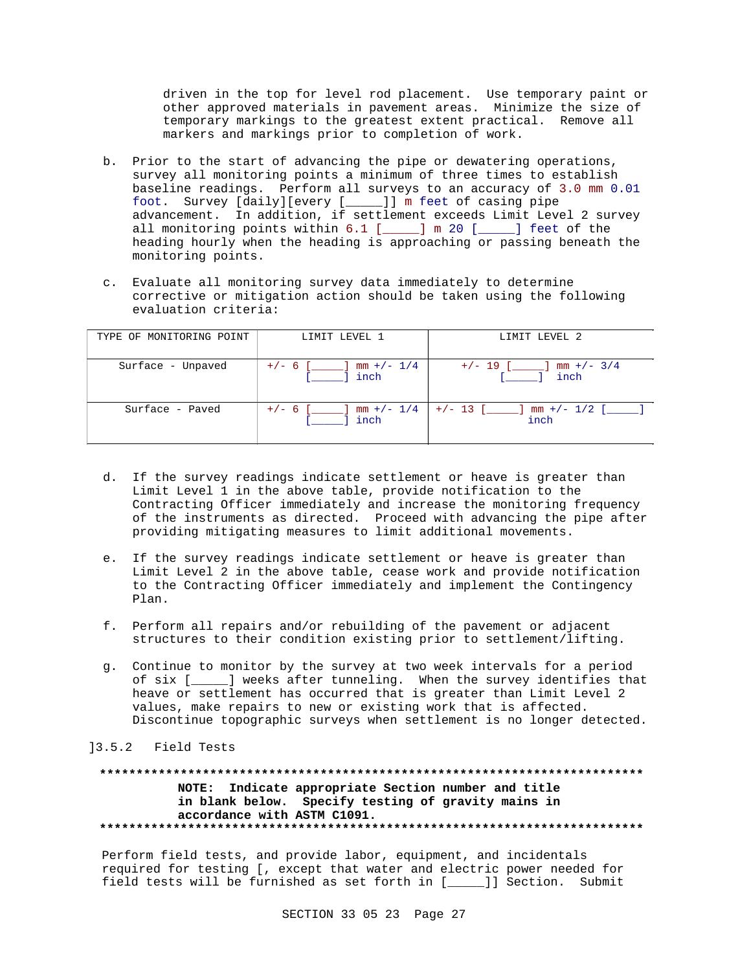driven in the top for level rod placement. Use temporary paint or other approved materials in pavement areas. Minimize the size of temporary markings to the greatest extent practical. Remove all markers and markings prior to completion of work.

- b. Prior to the start of advancing the pipe or dewatering operations, survey all monitoring points a minimum of three times to establish baseline readings. Perform all surveys to an accuracy of 3.0 mm 0.01 foot. Survey [daily][every [\_\_\_\_\_]] m feet of casing pipe advancement. In addition, if settlement exceeds Limit Level 2 survey all monitoring points within  $6.1$  [ $\qquad$ ] m 20 [ $\qquad$ ] feet of the heading hourly when the heading is approaching or passing beneath the monitoring points.
- c. Evaluate all monitoring survey data immediately to determine corrective or mitigation action should be taken using the following evaluation criteria:

| TYPE OF MONITORING POINT | LIMIT LEVEL 1                        | LIMIT LEVEL 2                       |
|--------------------------|--------------------------------------|-------------------------------------|
| Surface - Unpaved        | $+/- 6$ [ ] mm $+/- 1/4$<br>[ ] inch | $+/- 19$ [ ] mm $+/- 3/4$<br>inch   |
| Surface - Paved          | $+/- 6$ [ ] mm $+/- 1/4$<br>i linch  | $+/-$ 13 [ ] mm $+/-$ 1/2 [<br>inch |

- d. If the survey readings indicate settlement or heave is greater than Limit Level 1 in the above table, provide notification to the Contracting Officer immediately and increase the monitoring frequency of the instruments as directed. Proceed with advancing the pipe after providing mitigating measures to limit additional movements.
- e. If the survey readings indicate settlement or heave is greater than Limit Level 2 in the above table, cease work and provide notification to the Contracting Officer immediately and implement the Contingency Plan.
- f. Perform all repairs and/or rebuilding of the pavement or adjacent structures to their condition existing prior to settlement/lifting.
- g. Continue to monitor by the survey at two week intervals for a period of six [\_\_\_\_\_] weeks after tunneling. When the survey identifies that heave or settlement has occurred that is greater than Limit Level 2 values, make repairs to new or existing work that is affected. Discontinue topographic surveys when settlement is no longer detected.

#### ]3.5.2 Field Tests

### **\*\*\*\*\*\*\*\*\*\*\*\*\*\*\*\*\*\*\*\*\*\*\*\*\*\*\*\*\*\*\*\*\*\*\*\*\*\*\*\*\*\*\*\*\*\*\*\*\*\*\*\*\*\*\*\*\*\*\*\*\*\*\*\*\*\*\*\*\*\*\*\*\*\* NOTE: Indicate appropriate Section number and title in blank below. Specify testing of gravity mains in accordance with ASTM C1091. \*\*\*\*\*\*\*\*\*\*\*\*\*\*\*\*\*\*\*\*\*\*\*\*\*\*\*\*\*\*\*\*\*\*\*\*\*\*\*\*\*\*\*\*\*\*\*\*\*\*\*\*\*\*\*\*\*\*\*\*\*\*\*\*\*\*\*\*\*\*\*\*\*\***

Perform field tests, and provide labor, equipment, and incidentals required for testing [, except that water and electric power needed for field tests will be furnished as set forth in [\_\_\_\_\_]] Section. Submit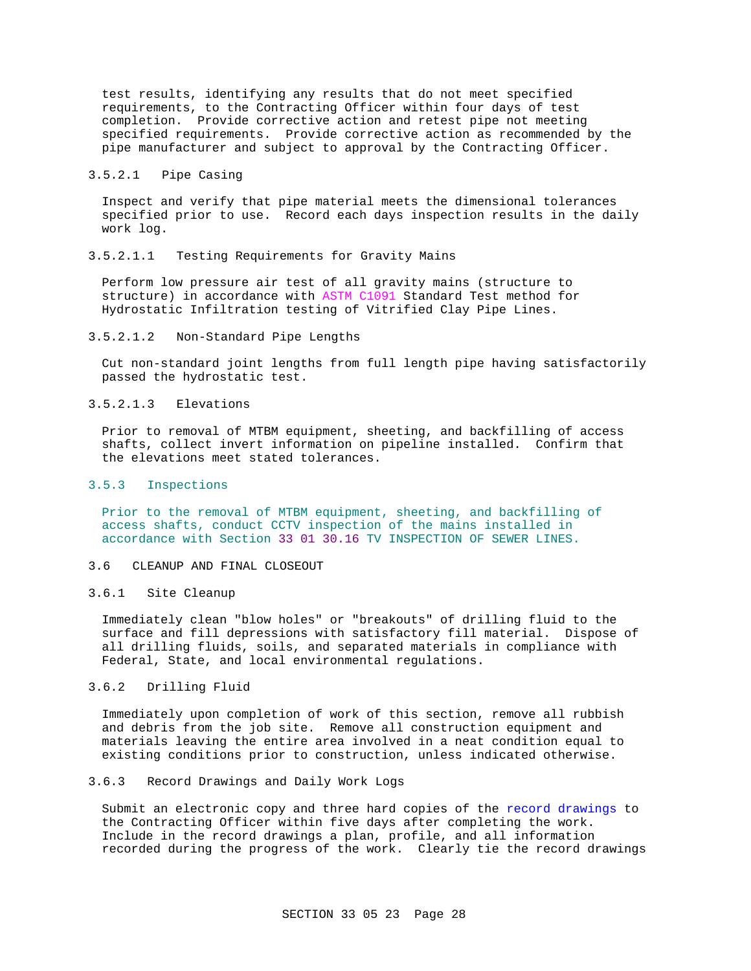test results, identifying any results that do not meet specified requirements, to the Contracting Officer within four days of test completion. Provide corrective action and retest pipe not meeting specified requirements. Provide corrective action as recommended by the pipe manufacturer and subject to approval by the Contracting Officer.

### 3.5.2.1 Pipe Casing

Inspect and verify that pipe material meets the dimensional tolerances specified prior to use. Record each days inspection results in the daily work log.

3.5.2.1.1 Testing Requirements for Gravity Mains

Perform low pressure air test of all gravity mains (structure to structure) in accordance with ASTM C1091 Standard Test method for Hydrostatic Infiltration testing of Vitrified Clay Pipe Lines.

### 3.5.2.1.2 Non-Standard Pipe Lengths

Cut non-standard joint lengths from full length pipe having satisfactorily passed the hydrostatic test.

### 3.5.2.1.3 Elevations

Prior to removal of MTBM equipment, sheeting, and backfilling of access shafts, collect invert information on pipeline installed. Confirm that the elevations meet stated tolerances.

### 3.5.3 Inspections

Prior to the removal of MTBM equipment, sheeting, and backfilling of access shafts, conduct CCTV inspection of the mains installed in accordance with Section 33 01 30.16 TV INSPECTION OF SEWER LINES.

#### 3.6 CLEANUP AND FINAL CLOSEOUT

#### 3.6.1 Site Cleanup

Immediately clean "blow holes" or "breakouts" of drilling fluid to the surface and fill depressions with satisfactory fill material. Dispose of all drilling fluids, soils, and separated materials in compliance with Federal, State, and local environmental regulations.

## 3.6.2 Drilling Fluid

Immediately upon completion of work of this section, remove all rubbish and debris from the job site. Remove all construction equipment and materials leaving the entire area involved in a neat condition equal to existing conditions prior to construction, unless indicated otherwise.

#### 3.6.3 Record Drawings and Daily Work Logs

Submit an electronic copy and three hard copies of the record drawings to the Contracting Officer within five days after completing the work. Include in the record drawings a plan, profile, and all information recorded during the progress of the work. Clearly tie the record drawings